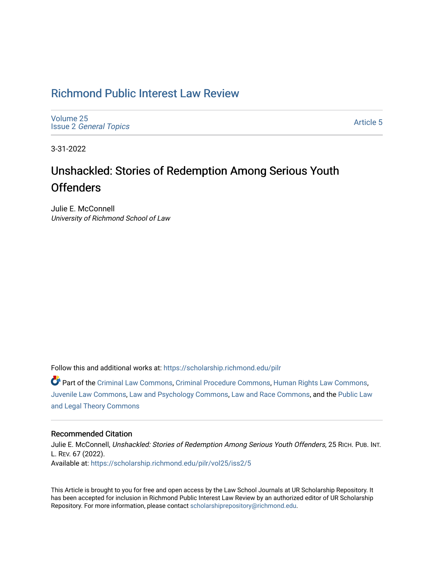# [Richmond Public Interest Law Review](https://scholarship.richmond.edu/pilr)

[Volume 25](https://scholarship.richmond.edu/pilr/vol25) Issue 2 [General Topics](https://scholarship.richmond.edu/pilr/vol25/iss2) 

[Article 5](https://scholarship.richmond.edu/pilr/vol25/iss2/5) 

3-31-2022

# Unshackled: Stories of Redemption Among Serious Youth **Offenders**

Julie E. McConnell University of Richmond School of Law

Follow this and additional works at: [https://scholarship.richmond.edu/pilr](https://scholarship.richmond.edu/pilr?utm_source=scholarship.richmond.edu%2Fpilr%2Fvol25%2Fiss2%2F5&utm_medium=PDF&utm_campaign=PDFCoverPages) 

Part of the [Criminal Law Commons,](http://network.bepress.com/hgg/discipline/912?utm_source=scholarship.richmond.edu%2Fpilr%2Fvol25%2Fiss2%2F5&utm_medium=PDF&utm_campaign=PDFCoverPages) [Criminal Procedure Commons,](http://network.bepress.com/hgg/discipline/1073?utm_source=scholarship.richmond.edu%2Fpilr%2Fvol25%2Fiss2%2F5&utm_medium=PDF&utm_campaign=PDFCoverPages) [Human Rights Law Commons](http://network.bepress.com/hgg/discipline/847?utm_source=scholarship.richmond.edu%2Fpilr%2Fvol25%2Fiss2%2F5&utm_medium=PDF&utm_campaign=PDFCoverPages), [Juvenile Law Commons](http://network.bepress.com/hgg/discipline/851?utm_source=scholarship.richmond.edu%2Fpilr%2Fvol25%2Fiss2%2F5&utm_medium=PDF&utm_campaign=PDFCoverPages), [Law and Psychology Commons](http://network.bepress.com/hgg/discipline/870?utm_source=scholarship.richmond.edu%2Fpilr%2Fvol25%2Fiss2%2F5&utm_medium=PDF&utm_campaign=PDFCoverPages), [Law and Race Commons](http://network.bepress.com/hgg/discipline/1300?utm_source=scholarship.richmond.edu%2Fpilr%2Fvol25%2Fiss2%2F5&utm_medium=PDF&utm_campaign=PDFCoverPages), and the [Public Law](http://network.bepress.com/hgg/discipline/871?utm_source=scholarship.richmond.edu%2Fpilr%2Fvol25%2Fiss2%2F5&utm_medium=PDF&utm_campaign=PDFCoverPages)  [and Legal Theory Commons](http://network.bepress.com/hgg/discipline/871?utm_source=scholarship.richmond.edu%2Fpilr%2Fvol25%2Fiss2%2F5&utm_medium=PDF&utm_campaign=PDFCoverPages) 

# Recommended Citation

Julie E. McConnell, Unshackled: Stories of Redemption Among Serious Youth Offenders, 25 RICH. PUB. INT. L. REV. 67 (2022). Available at: [https://scholarship.richmond.edu/pilr/vol25/iss2/5](https://scholarship.richmond.edu/pilr/vol25/iss2/5?utm_source=scholarship.richmond.edu%2Fpilr%2Fvol25%2Fiss2%2F5&utm_medium=PDF&utm_campaign=PDFCoverPages)

This Article is brought to you for free and open access by the Law School Journals at UR Scholarship Repository. It has been accepted for inclusion in Richmond Public Interest Law Review by an authorized editor of UR Scholarship Repository. For more information, please contact [scholarshiprepository@richmond.edu](mailto:scholarshiprepository@richmond.edu).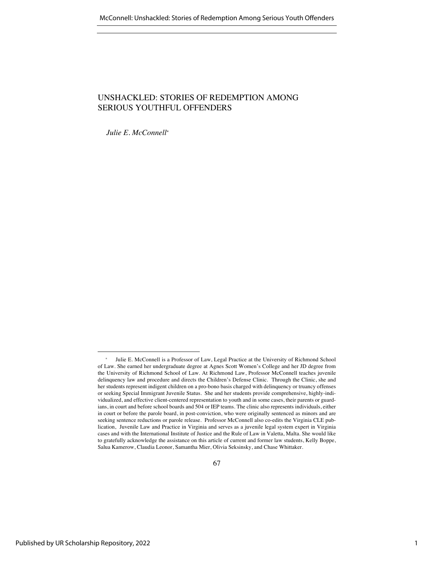# UNSHACKLED: STORIES OF REDEMPTION AMONG SERIOUS YOUTHFUL OFFENDERS

*Julie E. McConnell\**

Julie E. McConnell is a Professor of Law, Legal Practice at the University of Richmond School of Law. She earned her undergraduate degree at Agnes Scott Women's College and her JD degree from the University of Richmond School of Law. At Richmond Law, Professor McConnell teaches juvenile delinquency law and procedure and directs the Children's Defense Clinic. Through the Clinic, she and her students represent indigent children on a pro-bono basis charged with delinquency or truancy offenses or seeking Special Immigrant Juvenile Status. She and her students provide comprehensive, highly-individualized, and effective client-centered representation to youth and in some cases, their parents or guardians, in court and before school boards and 504 or IEP teams. The clinic also represents individuals, either in court or before the parole board, in post-conviction, who were originally sentenced as minors and are seeking sentence reductions or parole release. Professor McConnell also co-edits the Virginia CLE publication, Juvenile Law and Practice in Virginia and serves as a juvenile legal system expert in Virginia cases and with the International Institute of Justice and the Rule of Law in Valetta, Malta. She would like to gratefully acknowledge the assistance on this article of current and former law students, Kelly Boppe, Salua Kamerow, Claudia Leonor, Samantha Mier, Olivia Seksinsky, and Chase Whittaker.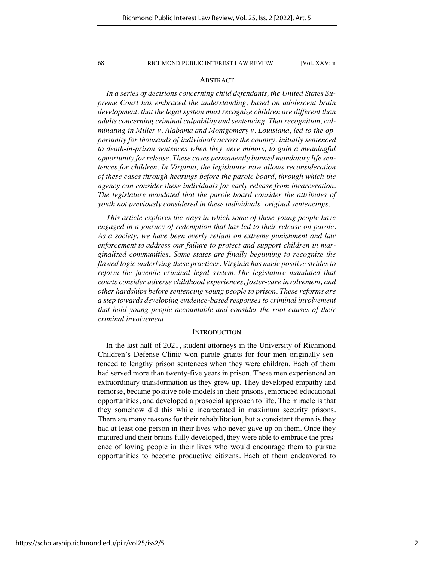# ABSTRACT

*In a series of decisions concerning child defendants, the United States Supreme Court has embraced the understanding, based on adolescent brain development, that the legal system must recognize children are different than adults concerning criminal culpability and sentencing. That recognition, culminating in Miller v. Alabama and Montgomery v. Louisiana, led to the opportunity for thousands of individuals across the country, initially sentenced to death-in-prison sentences when they were minors, to gain a meaningful opportunity for release. These cases permanently banned mandatory life sentences for children. In Virginia, the legislature now allows reconsideration of these cases through hearings before the parole board, through which the agency can consider these individuals for early release from incarceration. The legislature mandated that the parole board consider the attributes of youth not previously considered in these individuals' original sentencings.* 

*This article explores the ways in which some of these young people have engaged in a journey of redemption that has led to their release on parole. As a society, we have been overly reliant on extreme punishment and law enforcement to address our failure to protect and support children in marginalized communities. Some states are finally beginning to recognize the flawed logic underlying these practices. Virginia has made positive strides to reform the juvenile criminal legal system. The legislature mandated that courts consider adverse childhood experiences, foster-care involvement, and other hardships before sentencing young people to prison. These reforms are a step towards developing evidence-based responses to criminal involvement that hold young people accountable and consider the root causes of their criminal involvement.*

### INTRODUCTION

In the last half of 2021, student attorneys in the University of Richmond Children's Defense Clinic won parole grants for four men originally sentenced to lengthy prison sentences when they were children. Each of them had served more than twenty-five years in prison. These men experienced an extraordinary transformation as they grew up. They developed empathy and remorse, became positive role models in their prisons, embraced educational opportunities, and developed a prosocial approach to life. The miracle is that they somehow did this while incarcerated in maximum security prisons. There are many reasons for their rehabilitation, but a consistent theme is they had at least one person in their lives who never gave up on them. Once they matured and their brains fully developed, they were able to embrace the presence of loving people in their lives who would encourage them to pursue opportunities to become productive citizens. Each of them endeavored to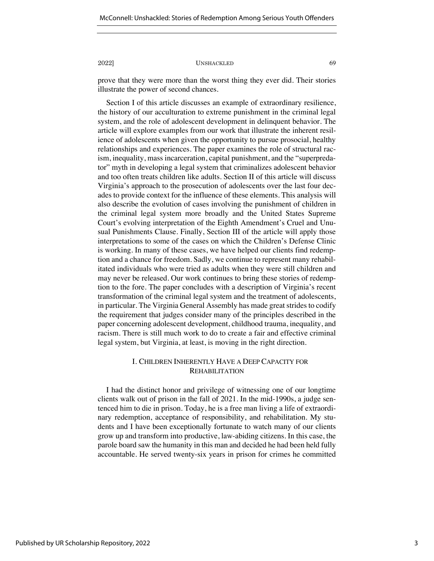prove that they were more than the worst thing they ever did. Their stories illustrate the power of second chances.

Section I of this article discusses an example of extraordinary resilience, the history of our acculturation to extreme punishment in the criminal legal system, and the role of adolescent development in delinquent behavior. The article will explore examples from our work that illustrate the inherent resilience of adolescents when given the opportunity to pursue prosocial, healthy relationships and experiences. The paper examines the role of structural racism, inequality, mass incarceration, capital punishment, and the "superpredator" myth in developing a legal system that criminalizes adolescent behavior and too often treats children like adults. Section II of this article will discuss Virginia's approach to the prosecution of adolescents over the last four decades to provide context for the influence of these elements. This analysis will also describe the evolution of cases involving the punishment of children in the criminal legal system more broadly and the United States Supreme Court's evolving interpretation of the Eighth Amendment's Cruel and Unusual Punishments Clause. Finally, Section III of the article will apply those interpretations to some of the cases on which the Children's Defense Clinic is working. In many of these cases, we have helped our clients find redemption and a chance for freedom. Sadly, we continue to represent many rehabilitated individuals who were tried as adults when they were still children and may never be released. Our work continues to bring these stories of redemption to the fore. The paper concludes with a description of Virginia's recent transformation of the criminal legal system and the treatment of adolescents, in particular. The Virginia General Assembly has made great strides to codify the requirement that judges consider many of the principles described in the paper concerning adolescent development, childhood trauma, inequality, and racism. There is still much work to do to create a fair and effective criminal legal system, but Virginia, at least, is moving in the right direction.

# I. CHILDREN INHERENTLY HAVE A DEEP CAPACITY FOR **REHABILITATION**

I had the distinct honor and privilege of witnessing one of our longtime clients walk out of prison in the fall of 2021. In the mid-1990s, a judge sentenced him to die in prison. Today, he is a free man living a life of extraordinary redemption, acceptance of responsibility, and rehabilitation. My students and I have been exceptionally fortunate to watch many of our clients grow up and transform into productive, law-abiding citizens. In this case, the parole board saw the humanity in this man and decided he had been held fully accountable. He served twenty-six years in prison for crimes he committed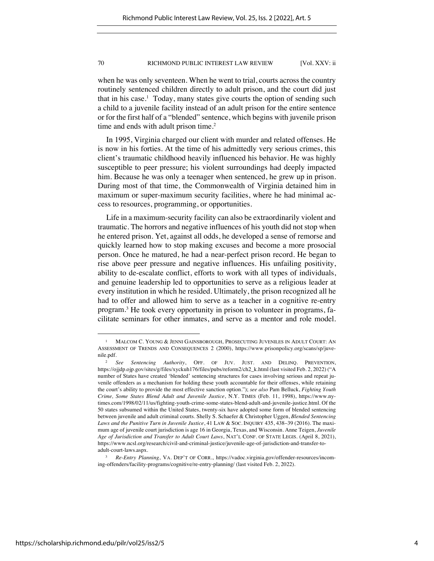when he was only seventeen. When he went to trial, courts across the country routinely sentenced children directly to adult prison, and the court did just that in his case.<sup>1</sup> Today, many states give courts the option of sending such a child to a juvenile facility instead of an adult prison for the entire sentence or for the first half of a "blended" sentence, which begins with juvenile prison time and ends with adult prison time.<sup>2</sup>

In 1995, Virginia charged our client with murder and related offenses. He is now in his forties. At the time of his admittedly very serious crimes, this client's traumatic childhood heavily influenced his behavior. He was highly susceptible to peer pressure; his violent surroundings had deeply impacted him. Because he was only a teenager when sentenced, he grew up in prison. During most of that time, the Commonwealth of Virginia detained him in maximum or super-maximum security facilities, where he had minimal access to resources, programming, or opportunities.

Life in a maximum-security facility can also be extraordinarily violent and traumatic. The horrors and negative influences of his youth did not stop when he entered prison. Yet, against all odds, he developed a sense of remorse and quickly learned how to stop making excuses and become a more prosocial person. Once he matured, he had a near-perfect prison record. He began to rise above peer pressure and negative influences. His unfailing positivity, ability to de-escalate conflict, efforts to work with all types of individuals, and genuine leadership led to opportunities to serve as a religious leader at every institution in which he resided. Ultimately, the prison recognized all he had to offer and allowed him to serve as a teacher in a cognitive re-entry program.3 He took every opportunity in prison to volunteer in programs, facilitate seminars for other inmates, and serve as a mentor and role model.

<sup>&</sup>lt;sup>1</sup> MALCOM C. YOUNG & JENNI GAINSBOROUGH, PROSECUTING JUVENILES IN ADULT COURT: AN ASSESSMENT OF TRENDS AND CONSEQUENCES 2 (2000), https://www.prisonpolicy.org/scans/sp/juvenile.pdf.

<sup>2</sup> *See Sentencing Authority*, OFF. OF JUV. JUST. AND DELINQ. PREVENTION, https://ojjdp.ojp.gov/sites/g/files/xyckuh176/files/pubs/reform2/ch2\_k.html (last visited Feb. 2, 2022) ("A number of States have created 'blended' sentencing structures for cases involving serious and repeat juvenile offenders as a mechanism for holding these youth accountable for their offenses, while retaining the court's ability to provide the most effective sanction option."); *see also* Pam Belluck, *Fighting Youth Crime, Some States Blend Adult and Juvenile Justice*, N.Y. TIMES (Feb. 11, 1998), https://www.nytimes.com/1998/02/11/us/fighting-youth-crime-some-states-blend-adult-and-juvenile-justice.html. Of the 50 states subsumed within the United States, twenty-six have adopted some form of blended sentencing between juvenile and adult criminal courts. Shelly S. Schaefer & Christopher Uggen, *Blended Sentencing Laws and the Punitive Turn in Juvenile Justice*, 41 LAW & SOC. INQUIRY 435, 438–39 (2016). The maximum age of juvenile court jurisdiction is age 16 in Georgia, Texas, and Wisconsin. Anne Teigen, *Juvenile Age of Jurisdiction and Transfer to Adult Court Laws*, NAT'L CONF. OF STATE LEGIS. (April 8, 2021), https://www.ncsl.org/research/civil-and-criminal-justice/juvenile-age-of-jurisdiction-and-transfer-toadult-court-laws.aspx.

<sup>3</sup> *Re-Entry Planning*, VA. DEP'T OF CORR., https://vadoc.virginia.gov/offender-resources/incoming-offenders/facility-programs/cognitive/re-entry-planning/ (last visited Feb. 2, 2022).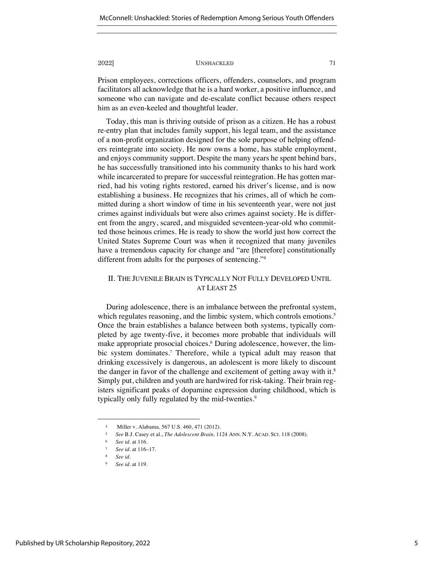Prison employees, corrections officers, offenders, counselors, and program facilitators all acknowledge that he is a hard worker, a positive influence, and someone who can navigate and de-escalate conflict because others respect him as an even-keeled and thoughtful leader.

Today, this man is thriving outside of prison as a citizen. He has a robust re-entry plan that includes family support, his legal team, and the assistance of a non-profit organization designed for the sole purpose of helping offenders reintegrate into society. He now owns a home, has stable employment, and enjoys community support. Despite the many years he spent behind bars, he has successfully transitioned into his community thanks to his hard work while incarcerated to prepare for successful reintegration. He has gotten married, had his voting rights restored, earned his driver's license, and is now establishing a business. He recognizes that his crimes, all of which he committed during a short window of time in his seventeenth year, were not just crimes against individuals but were also crimes against society. He is different from the angry, scared, and misguided seventeen-year-old who committed those heinous crimes. He is ready to show the world just how correct the United States Supreme Court was when it recognized that many juveniles have a tremendous capacity for change and "are [therefore] constitutionally different from adults for the purposes of sentencing."4

# II. THE JUVENILE BRAIN IS TYPICALLY NOT FULLY DEVELOPED UNTIL AT LEAST 25

During adolescence, there is an imbalance between the prefrontal system, which regulates reasoning, and the limbic system, which controls emotions.<sup>5</sup> Once the brain establishes a balance between both systems, typically completed by age twenty-five, it becomes more probable that individuals will make appropriate prosocial choices.<sup>6</sup> During adolescence, however, the limbic system dominates.<sup>7</sup> Therefore, while a typical adult may reason that drinking excessively is dangerous, an adolescent is more likely to discount the danger in favor of the challenge and excitement of getting away with it. $8$ Simply put, children and youth are hardwired for risk-taking. Their brain registers significant peaks of dopamine expression during childhood, which is typically only fully regulated by the mid-twenties.<sup>9</sup>

<sup>4</sup> Miller v. Alabama, 567 U.S. 460, 471 (2012).

<sup>5</sup> *See* B.J. Casey et al., *The Adolescent Brain,* 1124 ANN. N.Y. ACAD. SCI. 118 (2008).

<sup>6</sup> *See id.* at 116.

<sup>7</sup> *See id.* at 116–17.

<sup>8</sup> *See id.*

<sup>9</sup> *See id.* at 119.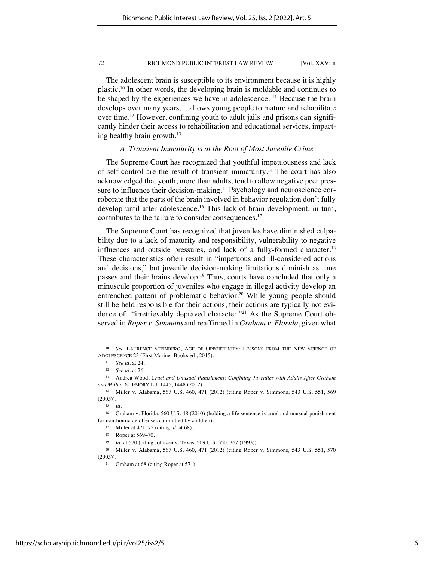The adolescent brain is susceptible to its environment because it is highly plastic.10 In other words, the developing brain is moldable and continues to be shaped by the experiences we have in adolescence. <sup>11</sup> Because the brain develops over many years, it allows young people to mature and rehabilitate over time.12 However, confining youth to adult jails and prisons can significantly hinder their access to rehabilitation and educational services, impacting healthy brain growth.<sup>13</sup>

### *A. Transient Immaturity is at the Root of Most Juvenile Crime*

The Supreme Court has recognized that youthful impetuousness and lack of self-control are the result of transient immaturity.14 The court has also acknowledged that youth, more than adults, tend to allow negative peer pressure to influence their decision-making.<sup>15</sup> Psychology and neuroscience corroborate that the parts of the brain involved in behavior regulation don't fully develop until after adolescence.16 This lack of brain development, in turn, contributes to the failure to consider consequences.<sup>17</sup>

The Supreme Court has recognized that juveniles have diminished culpability due to a lack of maturity and responsibility, vulnerability to negative influences and outside pressures, and lack of a fully-formed character.18 These characteristics often result in "impetuous and ill-considered actions and decisions," but juvenile decision-making limitations diminish as time passes and their brains develop.<sup>19</sup> Thus, courts have concluded that only a minuscule proportion of juveniles who engage in illegal activity develop an entrenched pattern of problematic behavior.<sup>20</sup> While young people should still be held responsible for their actions, their actions are typically not evidence of "irretrievably depraved character."21 As the Supreme Court observed in *Roper v. Simmons* and reaffirmed in *Graham v. Florida*, given what

<sup>&</sup>lt;sup>10</sup> See LAURENCE STEINBERG, AGE OF OPPORTUNITY: LESSONS FROM THE NEW SCIENCE OF ADOLESCENCE 23 (First Mariner Books ed., 2015).

<sup>11</sup> *See id.* at 24.

<sup>12</sup> *See id.* at 26.

<sup>13</sup> Andrea Wood, *Cruel and Unusual Punishment: Confining Juveniles with Adults After Graham and Miller*, 61 EMORY L.J. 1445, 1448 (2012).

<sup>14</sup> Miller v. Alabama, 567 U.S. 460, 471 (2012) (citing Roper v. Simmons, 543 U.S. 551, 569  $(2005)$ .

<sup>15</sup> *Id.*

<sup>16</sup> Graham v. Florida, 560 U.S. 48 (2010) (holding a life sentence is cruel and unusual punishment for non-homicide offenses committed by children).

<sup>17</sup> Miller at 471–72 (citing *id.* at 68).

<sup>18</sup> Roper at 569–70.

<sup>19</sup> *Id.* at 570 (citing Johnson v. Texas, 509 U.S. 350, 367 (1993)).

<sup>20</sup> Miller v. Alabama, 567 U.S. 460, 471 (2012) (citing Roper v. Simmons*,* 543 U.S. 551, 570  $(2005)$ ).

<sup>21</sup> Graham at 68 (citing Roper at 571).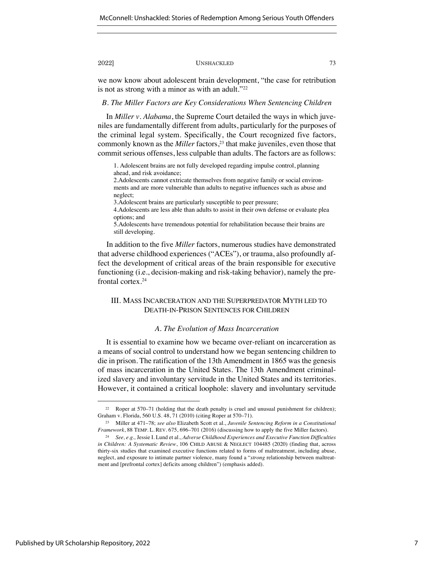we now know about adolescent brain development, "the case for retribution is not as strong with a minor as with an adult."<sup>22</sup>

# *B. The Miller Factors are Key Considerations When Sentencing Children*

In *Miller v. Alabama*, the Supreme Court detailed the ways in which juveniles are fundamentally different from adults, particularly for the purposes of the criminal legal system. Specifically, the Court recognized five factors, commonly known as the *Miller* factors,<sup>23</sup> that make juveniles, even those that commit serious offenses, less culpable than adults. The factors are as follows:

1. Adolescent brains are not fully developed regarding impulse control, planning ahead, and risk avoidance;

2.Adolescents cannot extricate themselves from negative family or social environments and are more vulnerable than adults to negative influences such as abuse and neglect;

3.Adolescent brains are particularly susceptible to peer pressure;

4.Adolescents are less able than adults to assist in their own defense or evaluate plea options; and

5.Adolescents have tremendous potential for rehabilitation because their brains are still developing.

In addition to the five *Miller* factors, numerous studies have demonstrated that adverse childhood experiences ("ACEs"), or trauma, also profoundly affect the development of critical areas of the brain responsible for executive functioning (i.e., decision-making and risk-taking behavior), namely the prefrontal cortex.24

# III. MASS INCARCERATION AND THE SUPERPREDATOR MYTH LED TO DEATH-IN-PRISON SENTENCES FOR CHILDREN

### *A. The Evolution of Mass Incarceration*

It is essential to examine how we became over-reliant on incarceration as a means of social control to understand how we began sentencing children to die in prison. The ratification of the 13th Amendment in 1865 was the genesis of mass incarceration in the United States. The 13th Amendment criminalized slavery and involuntary servitude in the United States and its territories. However, it contained a critical loophole: slavery and involuntary servitude

<sup>&</sup>lt;sup>22</sup> Roper at 570–71 (holding that the death penalty is cruel and unusual punishment for children); Graham v. Florida, 560 U.S. 48, 71 (2010) (citing Roper at 570–71).

<sup>23</sup> Miller at 471–78; *see also* Elizabeth Scott et al., *Juvenile Sentencing Reform in a Constitutional Framework*, 88 TEMP. L. REV. 675, 696–701 (2016) (discussing how to apply the five Miller factors).

<sup>24</sup> *See, e.g.,* Jessie I. Lund et al., *Adverse Childhood Experiences and Executive Function Difficulties in Children: A Systematic Review*, 106 CHILD ABUSE & NEGLECT 104485 (2020) (finding that, across thirty-six studies that examined executive functions related to forms of maltreatment, including abuse, neglect, and exposure to intimate partner violence, many found a "*strong* relationship between maltreatment and [prefrontal cortex] deficits among children") (emphasis added).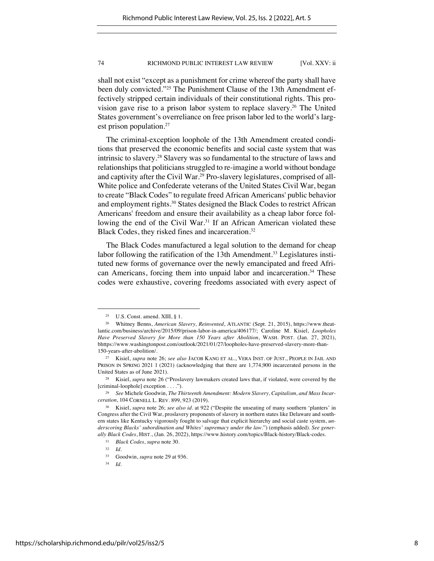shall not exist "except as a punishment for crime whereof the party shall have been duly convicted."25 The Punishment Clause of the 13th Amendment effectively stripped certain individuals of their constitutional rights. This provision gave rise to a prison labor system to replace slavery.<sup>26</sup> The United States government's overreliance on free prison labor led to the world's largest prison population.<sup>27</sup>

The criminal-exception loophole of the 13th Amendment created conditions that preserved the economic benefits and social caste system that was intrinsic to slavery.28 Slavery was so fundamental to the structure of laws and relationships that politicians struggled to re-imagine a world without bondage and captivity after the Civil War.<sup>29</sup> Pro-slavery legislatures, comprised of all-White police and Confederate veterans of the United States Civil War, began to create "Black Codes" to regulate freed African Americans' public behavior and employment rights.<sup>30</sup> States designed the Black Codes to restrict African Americans' freedom and ensure their availability as a cheap labor force following the end of the Civil War.<sup>31</sup> If an African American violated these Black Codes, they risked fines and incarceration.<sup>32</sup>

The Black Codes manufactured a legal solution to the demand for cheap labor following the ratification of the 13th Amendment.<sup>33</sup> Legislatures instituted new forms of governance over the newly emancipated and freed African Americans, forcing them into unpaid labor and incarceration.<sup>34</sup> These codes were exhaustive, covering freedoms associated with every aspect of

<sup>&</sup>lt;sup>25</sup> U.S. Const. amend. XIII,  $\S$  1.

<sup>26</sup> Whitney Benns, *American Slavery, Reinvented*, ATLANTIC (Sept. 21, 2015), https://www.theatlantic.com/business/archive/2015/09/prison-labor-in-america/406177/; Caroline M. Kisiel, *Loopholes Have Preserved Slavery for More than 150 Years after Abolition*, WASH. POST. (Jan. 27, 2021), bhttps://www.washingtonpost.com/outlook/2021/01/27/loopholes-have-preserved-slavery-more-than-150-years-after-abolition/.

<sup>27</sup> Kisiel, *supra* note 26; *see also* JACOB KANG ET AL., VERA INST. OF JUST., PEOPLE IN JAIL AND PRISON IN SPRING 2021 1 (2021) (acknowledging that there are 1,774,900 incarcerated persons in the United States as of June 2021).

<sup>28</sup> Kisiel, *supra* note 26 ("Proslavery lawmakers created laws that, if violated, were covered by the [criminal-loophole] exception . . . .").

<sup>29</sup> *See* Michele Goodwin, *The Thirteenth Amendment: Modern Slavery, Capitalism, and Mass Incarceration*, 104 CORNELL L. REV. 899, 923 (2019).

<sup>30</sup> Kisiel, *supra* note 26; *see also id.* at 922 ("Despite the unseating of many southern 'planters' in Congress after the Civil War, proslavery proponents of slavery in northern states like Delaware and southern states like Kentucky vigorously fought to salvage that explicit hierarchy and social caste system, *underscoring Blacks' subordination and Whites' supremacy under the law*.") (emphasis added). *See generally Black Codes*, HIST., (Jan. 26, 2022), https://www.history.com/topics/Black-history/Black-codes.

<sup>31</sup> *Black Codes*, *supra* note 30.

<sup>32</sup> *Id.*

<sup>33</sup> Goodwin, *supra* note 29 at 936.

<sup>34</sup> *Id.*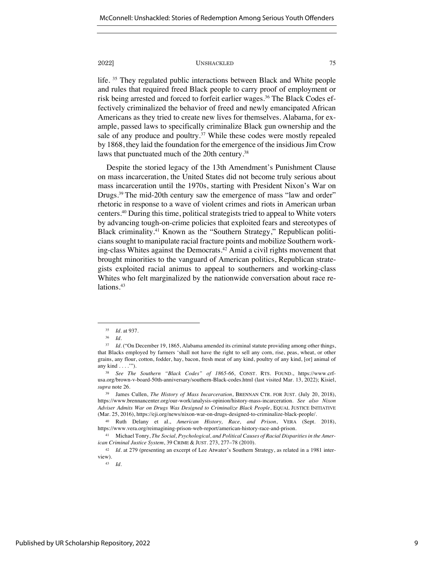life. 35 They regulated public interactions between Black and White people and rules that required freed Black people to carry proof of employment or risk being arrested and forced to forfeit earlier wages.<sup>36</sup> The Black Codes effectively criminalized the behavior of freed and newly emancipated African Americans as they tried to create new lives for themselves. Alabama, for example, passed laws to specifically criminalize Black gun ownership and the sale of any produce and poultry.<sup>37</sup> While these codes were mostly repealed by 1868, they laid the foundation for the emergence of the insidious Jim Crow laws that punctuated much of the 20th century.<sup>38</sup>

Despite the storied legacy of the 13th Amendment's Punishment Clause on mass incarceration, the United States did not become truly serious about mass incarceration until the 1970s, starting with President Nixon's War on Drugs. <sup>39</sup> The mid-20th century saw the emergence of mass "law and order" rhetoric in response to a wave of violent crimes and riots in American urban centers.40 During this time, political strategists tried to appeal to White voters by advancing tough-on-crime policies that exploited fears and stereotypes of Black criminality.41 Known as the "Southern Strategy," Republican politicians sought to manipulate racial fracture points and mobilize Southern working-class Whites against the Democrats.<sup>42</sup> Amid a civil rights movement that brought minorities to the vanguard of American politics, Republican strategists exploited racial animus to appeal to southerners and working-class Whites who felt marginalized by the nationwide conversation about race relations.<sup>43</sup>

<sup>35</sup> *Id.* at 937.

<sup>36</sup> *Id.*

<sup>&</sup>lt;sup>37</sup> *Id.* ("On December 19, 1865, Alabama amended its criminal statute providing among other things, that Blacks employed by farmers 'shall not have the right to sell any corn, rise, peas, wheat, or other grains, any flour, cotton, fodder, hay, bacon, fresh meat of any kind, poultry of any kind, [or] animal of any kind . . . .'").

<sup>38</sup> *See The Southern "Black Codes" of 1865-66*, CONST. RTS. FOUND., https://www.crfusa.org/brown-v-board-50th-anniversary/southern-Black-codes.html (last visited Mar. 13, 2022); Kisiel, *supra* note 26.

<sup>39</sup> James Cullen, *The History of Mass Incarceration*, BRENNAN CTR. FOR JUST. (July 20, 2018), https://www.brennancenter.org/our-work/analysis-opinion/history-mass-incarceration. *See also Nixon Adviser Admits War on Drugs Was Designed to Criminalize Black People*, EQUAL JUSTICE INITIATIVE (Mar. 25, 2016), https://eji.org/news/nixon-war-on-drugs-designed-to-criminalize-black-people/.

<sup>40</sup> Ruth Delany et al., *American History, Race, and Prison*, VERA (Sept. 2018), https://www.vera.org/reimagining-prison-web-report/american-history-race-and-prison.

<sup>41</sup> Michael Tonry, *The Social, Psychological, and Political Causes of Racial Disparities in the American Criminal Justice System*, 39 CRIME & JUST. 273, 277–78 (2010).

<sup>42</sup> *Id.* at 279 (presenting an excerpt of Lee Atwater's Southern Strategy, as related in a 1981 interview).

<sup>43</sup> *Id.*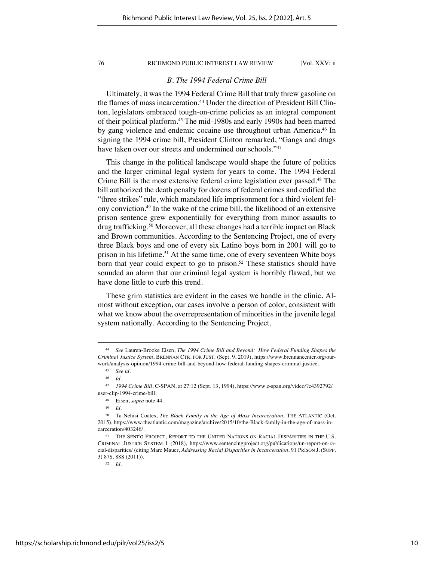# *B. The 1994 Federal Crime Bill*

Ultimately, it was the 1994 Federal Crime Bill that truly threw gasoline on the flames of mass incarceration.<sup>44</sup> Under the direction of President Bill Clinton, legislators embraced tough-on-crime policies as an integral component of their political platform.45 The mid-1980s and early 1990s had been marred by gang violence and endemic cocaine use throughout urban America.46 In signing the 1994 crime bill, President Clinton remarked, "Gangs and drugs have taken over our streets and undermined our schools."47

This change in the political landscape would shape the future of politics and the larger criminal legal system for years to come. The 1994 Federal Crime Bill is the most extensive federal crime legislation ever passed.<sup>48</sup> The bill authorized the death penalty for dozens of federal crimes and codified the "three strikes" rule, which mandated life imprisonment for a third violent felony conviction.49 In the wake of the crime bill, the likelihood of an extensive prison sentence grew exponentially for everything from minor assaults to drug trafficking.50 Moreover, all these changes had a terrible impact on Black and Brown communities. According to the Sentencing Project, one of every three Black boys and one of every six Latino boys born in 2001 will go to prison in his lifetime.<sup>51</sup> At the same time, one of every seventeen White boys born that year could expect to go to prison.<sup>52</sup> These statistics should have sounded an alarm that our criminal legal system is horribly flawed, but we have done little to curb this trend.

These grim statistics are evident in the cases we handle in the clinic. Almost without exception, our cases involve a person of color, consistent with what we know about the overrepresentation of minorities in the juvenile legal system nationally. According to the Sentencing Project,

<sup>44</sup> *See* Lauren-Brooke Eisen, *The 1994 Crime Bill and Beyond: How Federal Funding Shapes the Criminal Justice System*, BRENNAN CTR. FOR JUST. (Sept. 9, 2019), https://www.brennancenter.org/ourwork/analysis-opinion/1994-crime-bill-and-beyond-how-federal-funding-shapes-criminal-justice.

<sup>45</sup> *See id.*

<sup>46</sup> *Id.*

<sup>47</sup> *1994 Crime Bill*, C-SPAN, at 27:12 (Sept. 13, 1994), https://www.c-span.org/video/?c4392792/ user-clip-1994-crime-bill.

<sup>48</sup> Eisen, *supra* note 44.

<sup>49</sup> *Id.* 

<sup>50</sup> Ta-Nehisi Coates, *The Black Family in the Age of Mass Incarceration*, THE ATLANTIC (Oct. 2015), https://www.theatlantic.com/magazine/archive/2015/10/the-Black-family-in-the-age-of-mass-incarceration/403246/.

<sup>&</sup>lt;sup>51</sup> THE SENT'G PROJECT, REPORT TO THE UNITED NATIONS ON RACIAL DISPARITIES IN THE U.S. CRIMINAL JUSTICE SYSTEM 1 (2018), https://www.sentencingproject.org/publications/un-report-on-racial-disparities/ (citing Marc Mauer, *Addressing Racial Disparities in Incarceration*, 91 PRISON J. (SUPP. 3) 87S, 88S (2011)).

<sup>52</sup> *Id.*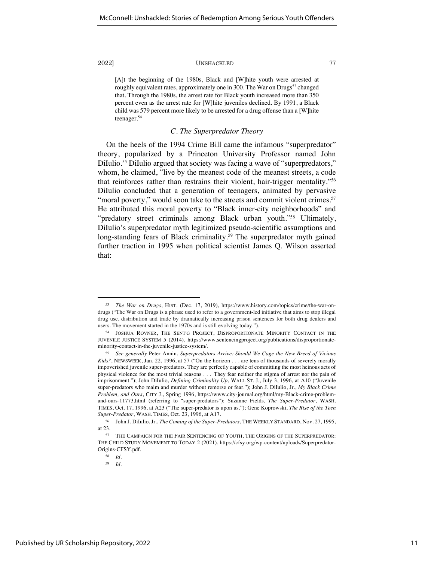[A]t the beginning of the 1980s, Black and [W]hite youth were arrested at roughly equivalent rates, approximately one in 300. The War on Drugs<sup>53</sup> changed that. Through the 1980s, the arrest rate for Black youth increased more than 350 percent even as the arrest rate for [W]hite juveniles declined. By 1991, a Black child was 579 percent more likely to be arrested for a drug offense than a [W]hite teenager.54

# *C. The Superpredator Theory*

On the heels of the 1994 Crime Bill came the infamous "superpredator" theory, popularized by a Princeton University Professor named John DiIulio.<sup>55</sup> DiIulio argued that society was facing a wave of "superpredators," whom, he claimed, "live by the meanest code of the meanest streets, a code that reinforces rather than restrains their violent, hair-trigger mentality."56 DiIulio concluded that a generation of teenagers, animated by pervasive "moral poverty," would soon take to the streets and commit violent crimes.<sup>57</sup> He attributed this moral poverty to "Black inner-city neighborhoods" and "predatory street criminals among Black urban youth."58 Ultimately, DiIulio's superpredator myth legitimized pseudo-scientific assumptions and long-standing fears of Black criminality.<sup>59</sup> The superpredator myth gained further traction in 1995 when political scientist James Q. Wilson asserted that:

<sup>53</sup> *The War on Drugs*, HIST. (Dec. 17, 2019), https://www.history.com/topics/crime/the-war-ondrugs ("The War on Drugs is a phrase used to refer to a government-led initiative that aims to stop illegal drug use, distribution and trade by dramatically increasing prison sentences for both drug dealers and users. The movement started in the 1970s and is still evolving today.").

<sup>54</sup> JOSHUA ROVNER, THE SENT'G PROJECT, DISPROPORTIONATE MINORITY CONTACT IN THE JUVENILE JUSTICE SYSTEM 5 (2014), https://www.sentencingproject.org/publications/disproportionateminority-contact-in-the-juvenile-justice-system/.

<sup>55</sup> *See generally* Peter Annin, *Superpredators Arrive: Should We Cage the New Breed of Vicious*  Kids?, NEWSWEEK, Jan. 22, 1996, at 57 ("On the horizon . . . are tens of thousands of severely morally impoverished juvenile super-predators. They are perfectly capable of committing the most heinous acts of physical violence for the most trivial reasons . . . They fear neither the stigma of arrest nor the pain of imprisonment."); John DiIulio, *Defining Criminality Up*, WALL ST. J., July 3, 1996, at A10 ("Juvenile super-predators who maim and murder without remorse or fear."); John J. DiIulio, Jr., *My Black Crime Problem, and Ours*, CITY J., Spring 1996, https://www.city-journal.org/html/my-Black-crime-problemand-ours-11773.html (referring to "super-predators"); Suzanne Fields, *The Super-Predator*, WASH. TIMES, Oct. 17, 1996, at A23 ("The super-predator is upon us."); Gene Koprowski, *The Rise of the Teen Super-Predator*, WASH. TIMES, Oct. 23, 1996, at A17.

<sup>56</sup> John J. DiIulio, Jr., *The Coming of the Super-Predators*, THE WEEKLY STANDARD, Nov. 27, 1995, at 23.

<sup>57</sup> THE CAMPAIGN FOR THE FAIR SENTENCING OF YOUTH, THE ORIGINS OF THE SUPERPREDATOR: THE CHILD STUDY MOVEMENT TO TODAY 2 (2021), https://cfsy.org/wp-content/uploads/Superpredator-Origins-CFSY.pdf.

<sup>58</sup> *Id.*

<sup>59</sup> *Id.*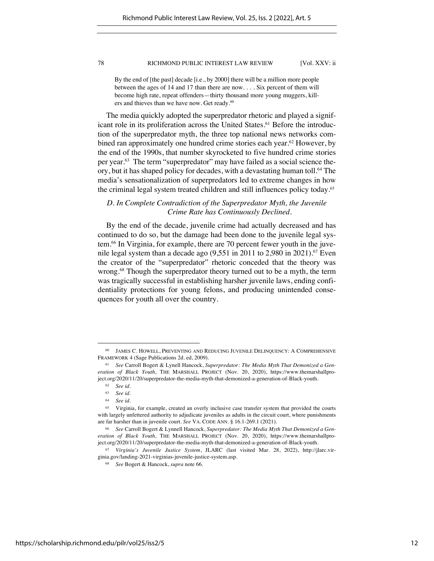By the end of [the past] decade [i.e., by 2000] there will be a million more people between the ages of 14 and 17 than there are now. . . . Six percent of them will become high rate, repeat offenders—thirty thousand more young muggers, killers and thieves than we have now. Get ready.<sup>60</sup>

The media quickly adopted the superpredator rhetoric and played a significant role in its proliferation across the United States.<sup>61</sup> Before the introduction of the superpredator myth, the three top national news networks combined ran approximately one hundred crime stories each year.<sup>62</sup> However, by the end of the 1990s, that number skyrocketed to five hundred crime stories per year.63 The term "superpredator" may have failed as a social science theory, but it has shaped policy for decades, with a devastating human toll.<sup>64</sup> The media's sensationalization of superpredators led to extreme changes in how the criminal legal system treated children and still influences policy today.<sup>65</sup>

# *D. In Complete Contradiction of the Superpredator Myth, the Juvenile Crime Rate has Continuously Declined.*

By the end of the decade, juvenile crime had actually decreased and has continued to do so, but the damage had been done to the juvenile legal system.66 In Virginia, for example, there are 70 percent fewer youth in the juvenile legal system than a decade ago  $(9,551$  in 2011 to 2,980 in 2021).<sup>67</sup> Even the creator of the "superpredator" rhetoric conceded that the theory was wrong.<sup>68</sup> Though the superpredator theory turned out to be a myth, the term was tragically successful in establishing harsher juvenile laws, ending confidentiality protections for young felons, and producing unintended consequences for youth all over the country.

<sup>60</sup> JAMES C. HOWELL, PREVENTING AND REDUCING JUVENILE DELINQUENCY: A COMPREHENSIVE FRAMEWORK 4 (Sage Publications 2d. ed, 2009).

<sup>61</sup> *See* Carroll Bogert & Lynell Hancock, *Superpredator: The Media Myth That Demonized a Generation of Black Youth*, THE MARSHALL PROJECT (Nov. 20, 2020), https://www.themarshallproject.org/2020/11/20/superpredator-the-media-myth-that-demonized-a-generation-of-Black-youth.

<sup>62</sup> *See id.*

<sup>63</sup> *See id.* 

<sup>64</sup> *See id.* 

<sup>&</sup>lt;sup>65</sup> Virginia, for example, created an overly inclusive case transfer system that provided the courts with largely unfettered authority to adjudicate juveniles as adults in the circuit court, where punishments are far harsher than in juvenile court. *See* VA. CODE ANN. § 16.1-269.1 (2021).

<sup>66</sup> *See* Carroll Bogert & Lynnell Hancock, *Superpredator: The Media Myth That Demonized a Generation of Black Youth*, THE MARSHALL PROJECT (Nov. 20, 2020), https://www.themarshallproject.org/2020/11/20/superpredator-the-media-myth-that-demonized-a-generation-of-Black-youth.

<sup>67</sup> *Virginia's Juvenile Justice System*, JLARC (last visited Mar. 28, 2022), http://jlarc.virginia.gov/landing-2021-virginias-juvenile-justice-system.asp.

<sup>68</sup> *See* Bogert & Hancock, *supra* note 66.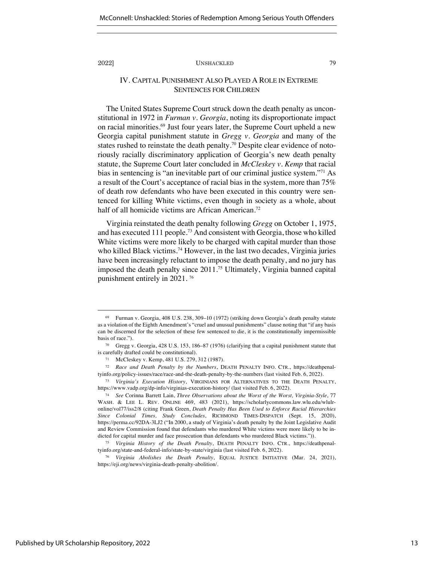# IV. CAPITAL PUNISHMENT ALSO PLAYED A ROLE IN EXTREME SENTENCES FOR CHILDREN

The United States Supreme Court struck down the death penalty as unconstitutional in 1972 in *Furman v. Georgia*, noting its disproportionate impact on racial minorities.<sup>69</sup> Just four years later, the Supreme Court upheld a new Georgia capital punishment statute in *Gregg v. Georgia* and many of the states rushed to reinstate the death penalty.<sup>70</sup> Despite clear evidence of notoriously racially discriminatory application of Georgia's new death penalty statute, the Supreme Court later concluded in *McCleskey v. Kemp* that racial bias in sentencing is "an inevitable part of our criminal justice system."71 As a result of the Court's acceptance of racial bias in the system, more than 75% of death row defendants who have been executed in this country were sentenced for killing White victims, even though in society as a whole, about half of all homicide victims are African American.<sup>72</sup>

Virginia reinstated the death penalty following *Gregg* on October 1, 1975, and has executed 111 people.73 And consistent with Georgia, those who killed White victims were more likely to be charged with capital murder than those who killed Black victims.<sup>74</sup> However, in the last two decades, Virginia juries have been increasingly reluctant to impose the death penalty, and no jury has imposed the death penalty since 2011.75 Ultimately, Virginia banned capital punishment entirely in 2021. <sup>76</sup>

<sup>69</sup> Furman v. Georgia, 408 U.S. 238, 309–10 (1972) (striking down Georgia's death penalty statute as a violation of the Eighth Amendment's "cruel and unusual punishments" clause noting that "if any basis can be discerned for the selection of these few sentenced to die, it is the constitutionally impermissible basis of race.").

<sup>70</sup> Gregg v. Georgia, 428 U.S. 153, 186–87 (1976) (clarifying that a capital punishment statute that is carefully drafted could be constitutional).

<sup>71</sup> McCleskey v. Kemp, 481 U.S. 279, 312 (1987).

<sup>72</sup> *Race and Death Penalty by the Numbers*, DEATH PENALTY INFO. CTR., https://deathpenaltyinfo.org/policy-issues/race/race-and-the-death-penalty-by-the-numbers (last visited Feb. 6, 2022).

<sup>73</sup> *Virginia's Execution History*, VIRGINIANS FOR ALTERNATIVES TO THE DEATH PENALTY, https://www.vadp.org/dp-info/virginias-execution-history/ (last visited Feb. 6, 2022).

<sup>74</sup> *See* Corinna Barrett Lain, *Three Observations about the Worst of the Worst, Virginia-Style*, 77 WASH. & LEE L. REV. ONLINE 469, 483 (2021), https://scholarlycommons.law.wlu.edu/wlulronline/vol77/iss2/8 (citing Frank Green, *Death Penalty Has Been Used to Enforce Racial Hierarchies Since Colonial Times, Study Concludes*, RICHMOND TIMES-DISPATCH (Sept. 15, 2020), https://perma.cc/92DA-3LJ2 ("In 2000, a study of Virginia's death penalty by the Joint Legislative Audit and Review Commission found that defendants who murdered White victims were more likely to be indicted for capital murder and face prosecution than defendants who murdered Black victims.")).

<sup>75</sup> *Virginia History of the Death Penalty*, DEATH PENALTY INFO. CTR., https://deathpenaltyinfo.org/state-and-federal-info/state-by-state/virginia (last visited Feb. 6, 2022).

<sup>76</sup> *Virginia Abolishes the Death Penalty*, EQUAL JUSTICE INITIATIVE (Mar. 24, 2021), https://eji.org/news/virginia-death-penalty-abolition/.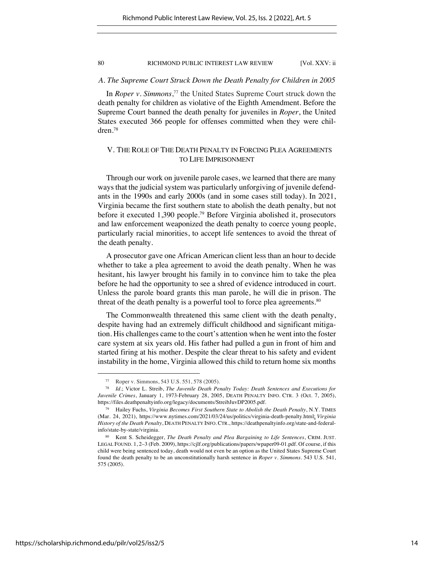### *A. The Supreme Court Struck Down the Death Penalty for Children in 2005*

In *Roper v. Simmons*, <sup>77</sup> the United States Supreme Court struck down the death penalty for children as violative of the Eighth Amendment. Before the Supreme Court banned the death penalty for juveniles in *Roper*, the United States executed 366 people for offenses committed when they were children.78

# V. THE ROLE OF THE DEATH PENALTY IN FORCING PLEA AGREEMENTS TO LIFE IMPRISONMENT

Through our work on juvenile parole cases, we learned that there are many ways that the judicial system was particularly unforgiving of juvenile defendants in the 1990s and early 2000s (and in some cases still today). In 2021, Virginia became the first southern state to abolish the death penalty, but not before it executed 1,390 people.79 Before Virginia abolished it, prosecutors and law enforcement weaponized the death penalty to coerce young people, particularly racial minorities, to accept life sentences to avoid the threat of the death penalty.

A prosecutor gave one African American client less than an hour to decide whether to take a plea agreement to avoid the death penalty. When he was hesitant, his lawyer brought his family in to convince him to take the plea before he had the opportunity to see a shred of evidence introduced in court. Unless the parole board grants this man parole, he will die in prison. The threat of the death penalty is a powerful tool to force plea agreements.<sup>80</sup>

The Commonwealth threatened this same client with the death penalty, despite having had an extremely difficult childhood and significant mitigation. His challenges came to the court's attention when he went into the foster care system at six years old. His father had pulled a gun in front of him and started firing at his mother. Despite the clear threat to his safety and evident instability in the home, Virginia allowed this child to return home six months

<sup>77</sup> Roper v. Simmons, 543 U.S. 551, 578 (2005).

<sup>78</sup> *Id.*; Victor L. Streib, *The Juvenile Death Penalty Today: Death Sentences and Executions for Juvenile Crimes*, January 1, 1973-February 28, 2005, DEATH PENALTY INFO. CTR. 3 (Oct. 7, 2005), https://files.deathpenaltyinfo.org/legacy/documents/StreibJuvDP2005.pdf.

<sup>79</sup> Hailey Fuchs, *Virginia Becomes First Southern State to Abolish the Death Penalty*, N.Y. TIMES (Mar. 24, 2021), https://www.nytimes.com/2021/03/24/us/politics/virginia-death-penalty.html; *Virginia History of the Death Penalty*, DEATH PENALTY INFO. CTR., https://deathpenaltyinfo.org/state-and-federalinfo/state-by-state/virginia.

<sup>80</sup> Kent S. Scheidegger, *The Death Penalty and Plea Bargaining to Life Sentences*, CRIM. JUST. LEGAL FOUND. 1, 2–3 (Feb. 2009), https://cjlf.org/publications/papers/wpaper09-01.pdf. Of course, if this child were being sentenced today, death would not even be an option as the United States Supreme Court found the death penalty to be an unconstitutionally harsh sentence in *Roper v. Simmons*. 543 U.S. 541, 575 (2005).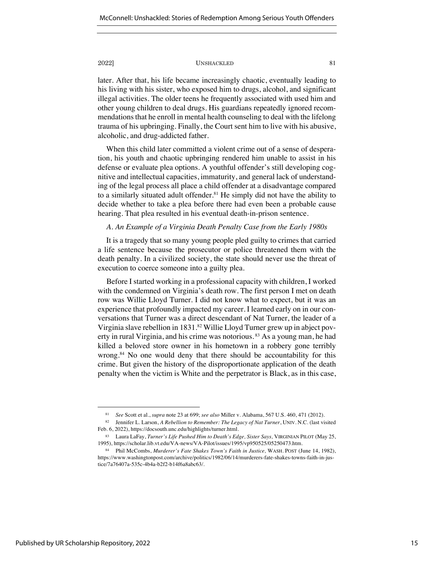later. After that, his life became increasingly chaotic, eventually leading to his living with his sister, who exposed him to drugs, alcohol, and significant illegal activities. The older teens he frequently associated with used him and other young children to deal drugs. His guardians repeatedly ignored recommendations that he enroll in mental health counseling to deal with the lifelong trauma of his upbringing. Finally, the Court sent him to live with his abusive, alcoholic, and drug-addicted father.

When this child later committed a violent crime out of a sense of desperation, his youth and chaotic upbringing rendered him unable to assist in his defense or evaluate plea options. A youthful offender's still developing cognitive and intellectual capacities, immaturity, and general lack of understanding of the legal process all place a child offender at a disadvantage compared to a similarly situated adult offender.<sup>81</sup> He simply did not have the ability to decide whether to take a plea before there had even been a probable cause hearing. That plea resulted in his eventual death-in-prison sentence.

# *A. An Example of a Virginia Death Penalty Case from the Early 1980s*

It is a tragedy that so many young people pled guilty to crimes that carried a life sentence because the prosecutor or police threatened them with the death penalty. In a civilized society, the state should never use the threat of execution to coerce someone into a guilty plea.

Before I started working in a professional capacity with children, I worked with the condemned on Virginia's death row. The first person I met on death row was Willie Lloyd Turner. I did not know what to expect, but it was an experience that profoundly impacted my career. I learned early on in our conversations that Turner was a direct descendant of Nat Turner, the leader of a Virginia slave rebellion in 1831.<sup>82</sup> Willie Lloyd Turner grew up in abject poverty in rural Virginia, and his crime was notorious.<sup>83</sup> As a young man, he had killed a beloved store owner in his hometown in a robbery gone terribly wrong.<sup>84</sup> No one would deny that there should be accountability for this crime. But given the history of the disproportionate application of the death penalty when the victim is White and the perpetrator is Black, as in this case,

<sup>81</sup> *See* Scott et al., *supra* note 23 at 699; *see also* Miller v. Alabama, 567 U.S. 460, 471 (2012).

<sup>82</sup> Jennifer L. Larson, *A Rebellion to Remember: The Legacy of Nat Turner*, UNIV. N.C. (last visited Feb. 6, 2022), https://docsouth.unc.edu/highlights/turner.html.

<sup>83</sup> Laura LaFay, *Turner's Life Pushed Him to Death's Edge, Sister Says,* VIRGINIAN PILOT (May 25, 1995), https://scholar.lib.vt.edu/VA-news/VA-Pilot/issues/1995/vp950525/05250473.htm.

<sup>84</sup> Phil McCombs, *Murderer's Fate Shakes Town's Faith in Justice,* WASH. POST (June 14, 1982), https://www.washingtonpost.com/archive/politics/1982/06/14/murderers-fate-shakes-towns-faith-in-justice/7a76407a-535c-4b4a-b2f2-b14f6a8abc63/.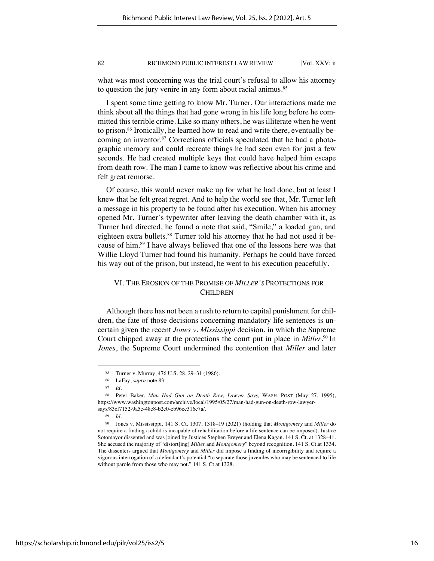what was most concerning was the trial court's refusal to allow his attorney to question the jury venire in any form about racial animus.<sup>85</sup>

I spent some time getting to know Mr. Turner. Our interactions made me think about all the things that had gone wrong in his life long before he committed this terrible crime. Like so many others, he was illiterate when he went to prison.86 Ironically, he learned how to read and write there, eventually becoming an inventor.<sup>87</sup> Corrections officials speculated that he had a photographic memory and could recreate things he had seen even for just a few seconds. He had created multiple keys that could have helped him escape from death row. The man I came to know was reflective about his crime and felt great remorse.

Of course, this would never make up for what he had done, but at least I knew that he felt great regret. And to help the world see that, Mr. Turner left a message in his property to be found after his execution. When his attorney opened Mr. Turner's typewriter after leaving the death chamber with it, as Turner had directed, he found a note that said, "Smile," a loaded gun, and eighteen extra bullets.<sup>88</sup> Turner told his attorney that he had not used it because of him.89 I have always believed that one of the lessons here was that Willie Lloyd Turner had found his humanity. Perhaps he could have forced his way out of the prison, but instead, he went to his execution peacefully.

# VI. THE EROSION OF THE PROMISE OF *MILLER'S* PROTECTIONS FOR CHILDREN

Although there has not been a rush to return to capital punishment for children, the fate of those decisions concerning mandatory life sentences is uncertain given the recent *Jones v. Mississippi* decision, in which the Supreme Court chipped away at the protections the court put in place in *Miller*. <sup>90</sup> In *Jones*, the Supreme Court undermined the contention that *Miller* and later

<sup>85</sup> Turner v. Murray, 476 U.S. 28, 29–31 (1986).

<sup>86</sup> LaFay, *supra* note 83.

<sup>87</sup> *Id.*

<sup>88</sup> Peter Baker, *Man Had Gun on Death Row, Lawyer Says,* WASH. POST (May 27, 1995), https://www.washingtonpost.com/archive/local/1995/05/27/man-had-gun-on-death-row-lawyersays/83cf7152-9a5e-48e8-b2e0-eb96ec316c7a/.

<sup>89</sup> *Id.*

<sup>90</sup> Jones v. Mississippi, 141 S. Ct. 1307, 1318–19 (2021) (holding that *Montgomery* and *Miller* do not require a finding a child is incapable of rehabilitation before a life sentence can be imposed). Justice Sotomayor dissented and was joined by Justices Stephen Breyer and Elena Kagan. 141 S. Ct. at 1328–41. She accused the majority of "distort[ing] *Miller* and *Montgomery*" beyond recognition. 141 S. Ct.at 1334. The dissenters argued that *Montgomery* and *Miller* did impose a finding of incorrigibility and require a vigorous interrogation of a defendant's potential "to separate those juveniles who may be sentenced to life without parole from those who may not." 141 S. Ct.at 1328.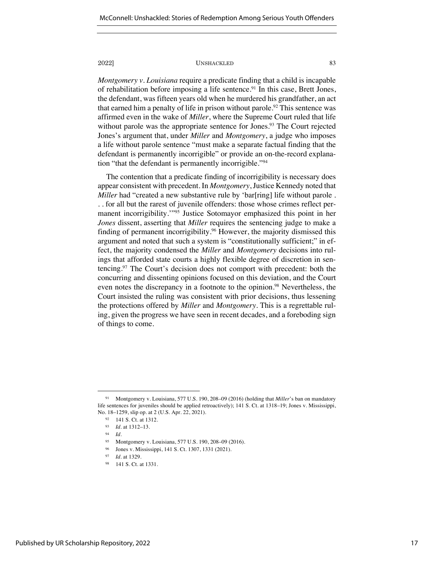*Montgomery v. Louisiana* require a predicate finding that a child is incapable of rehabilitation before imposing a life sentence.<sup>91</sup> In this case, Brett Jones, the defendant, was fifteen years old when he murdered his grandfather, an act that earned him a penalty of life in prison without parole.<sup>92</sup> This sentence was affirmed even in the wake of *Miller*, where the Supreme Court ruled that life without parole was the appropriate sentence for Jones.<sup>93</sup> The Court rejected Jones's argument that, under *Miller* and *Montgomery*, a judge who imposes a life without parole sentence "must make a separate factual finding that the defendant is permanently incorrigible" or provide an on-the-record explanation "that the defendant is permanently incorrigible."94

The contention that a predicate finding of incorrigibility is necessary does appear consistent with precedent. In *Montgomery*, Justice Kennedy noted that *Miller* had "created a new substantive rule by 'bar[ring] life without parole. . . for all but the rarest of juvenile offenders: those whose crimes reflect permanent incorrigibility."<sup>95</sup> Justice Sotomayor emphasized this point in her *Jones* dissent, asserting that *Miller* requires the sentencing judge to make a finding of permanent incorrigibility.<sup>96</sup> However, the majority dismissed this argument and noted that such a system is "constitutionally sufficient;" in effect, the majority condensed the *Miller* and *Montgomery* decisions into rulings that afforded state courts a highly flexible degree of discretion in sentencing.97 The Court's decision does not comport with precedent: both the concurring and dissenting opinions focused on this deviation, and the Court even notes the discrepancy in a footnote to the opinion.<sup>98</sup> Nevertheless, the Court insisted the ruling was consistent with prior decisions, thus lessening the protections offered by *Miller* and *Montgomery*. This is a regrettable ruling, given the progress we have seen in recent decades, and a foreboding sign of things to come.

<sup>91</sup> Montgomery v. Louisiana, 577 U.S. 190, 208–09 (2016) (holding that *Miller*'s ban on mandatory life sentences for juveniles should be applied retroactively); 141 S. Ct. at 1318–19; Jones v. Mississippi, No. 18–1259, slip op. at 2 (U.S. Apr. 22, 2021).

<sup>92</sup> 141 S. Ct. at 1312.

<sup>93</sup> *Id.* at 1312–13.

<sup>94</sup> *Id.*

Montgomery v. Louisiana, 577 U.S. 190, 208-09 (2016).

Jones v. Mississippi, 141 S. Ct. 1307, 1331 (2021).

<sup>97</sup> *Id.* at 1329.

<sup>141</sup> S. Ct. at 1331.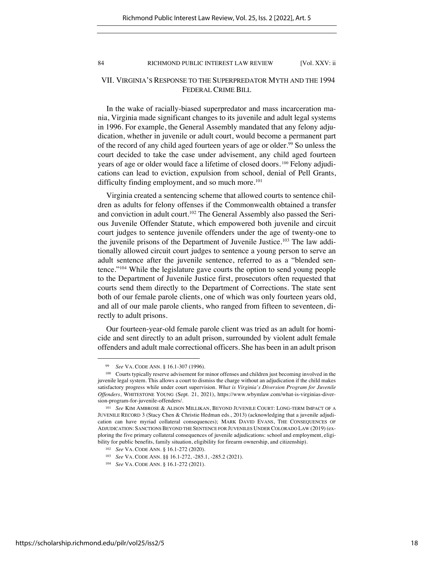# VII. VIRGINIA'S RESPONSE TO THE SUPERPREDATOR MYTH AND THE 1994 FEDERAL CRIME BILL

In the wake of racially-biased superpredator and mass incarceration mania, Virginia made significant changes to its juvenile and adult legal systems in 1996. For example, the General Assembly mandated that any felony adjudication, whether in juvenile or adult court, would become a permanent part of the record of any child aged fourteen years of age or older.<sup>99</sup> So unless the court decided to take the case under advisement, any child aged fourteen years of age or older would face a lifetime of closed doors. <sup>100</sup> Felony adjudications can lead to eviction, expulsion from school, denial of Pell Grants, difficulty finding employment, and so much more.<sup>101</sup>

Virginia created a sentencing scheme that allowed courts to sentence children as adults for felony offenses if the Commonwealth obtained a transfer and conviction in adult court. <sup>102</sup> The General Assembly also passed the Serious Juvenile Offender Statute, which empowered both juvenile and circuit court judges to sentence juvenile offenders under the age of twenty-one to the juvenile prisons of the Department of Juvenile Justice.<sup>103</sup> The law additionally allowed circuit court judges to sentence a young person to serve an adult sentence after the juvenile sentence, referred to as a "blended sentence."104 While the legislature gave courts the option to send young people to the Department of Juvenile Justice first, prosecutors often requested that courts send them directly to the Department of Corrections. The state sent both of our female parole clients, one of which was only fourteen years old, and all of our male parole clients, who ranged from fifteen to seventeen, directly to adult prisons.

Our fourteen-year-old female parole client was tried as an adult for homicide and sent directly to an adult prison, surrounded by violent adult female offenders and adult male correctional officers. She has been in an adult prison

<sup>99</sup> *See* VA. CODE ANN. § 16.1-307 (1996).

<sup>100</sup> Courts typically reserve advisement for minor offenses and children just becoming involved in the juvenile legal system. This allows a court to dismiss the charge without an adjudication if the child makes satisfactory progress while under court supervision. *What is Virginia's Diversion Program for Juvenile Offenders*, WHITESTONE YOUNG (Sept. 21, 2021), https://www.wbymlaw.com/what-is-virginias-diversion-program-for-juvenile-offenders/.

<sup>101</sup> *See* KIM AMBROSE & ALISON MILLIKAN, BEYOND JUVENILE COURT: LONG-TERM IMPACT OF A JUVENILE RECORD 3 (Stacy Chen & Christie Hedman eds., 2013) (acknowledging that a juvenile adjudication can have myriad collateral consequences); MARK DAVID EVANS, THE CONSEQUENCES OF ADJUDICATION: SANCTIONS BEYOND THE SENTENCE FOR JUVENILES UNDER COLORADO LAW (2019) (exploring the five primary collateral consequences of juvenile adjudications: school and employment, eligibility for public benefits, family situation, eligibility for firearm ownership, and citizenship).

<sup>102</sup> *See* VA. CODE ANN. § 16.1-272 (2020).

<sup>103</sup> *See* VA. CODE ANN. §§ 16.1-272, -285.1, -285.2 (2021).

<sup>104</sup> *See* VA. CODE ANN. § 16.1-272 (2021).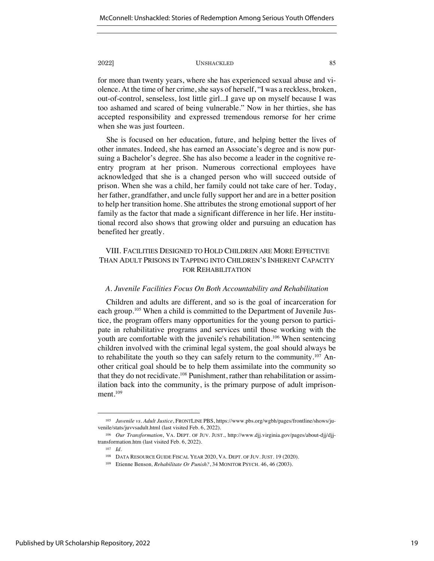for more than twenty years, where she has experienced sexual abuse and violence. At the time of her crime, she says of herself, "I was a reckless, broken, out-of-control, senseless, lost little girl...I gave up on myself because I was too ashamed and scared of being vulnerable." Now in her thirties, she has accepted responsibility and expressed tremendous remorse for her crime when she was just fourteen.

She is focused on her education, future, and helping better the lives of other inmates. Indeed, she has earned an Associate's degree and is now pursuing a Bachelor's degree. She has also become a leader in the cognitive reentry program at her prison. Numerous correctional employees have acknowledged that she is a changed person who will succeed outside of prison. When she was a child, her family could not take care of her. Today, her father, grandfather, and uncle fully support her and are in a better position to help her transition home. She attributes the strong emotional support of her family as the factor that made a significant difference in her life. Her institutional record also shows that growing older and pursuing an education has benefited her greatly.

# VIII. FACILITIES DESIGNED TO HOLD CHILDREN ARE MORE EFFECTIVE THAN ADULT PRISONS IN TAPPING INTO CHILDREN'S INHERENT CAPACITY FOR REHABILITATION

# *A. Juvenile Facilities Focus On Both Accountability and Rehabilitation*

Children and adults are different, and so is the goal of incarceration for each group.105 When a child is committed to the Department of Juvenile Justice, the program offers many opportunities for the young person to participate in rehabilitative programs and services until those working with the youth are comfortable with the juvenile's rehabilitation.<sup>106</sup> When sentencing children involved with the criminal legal system, the goal should always be to rehabilitate the youth so they can safely return to the community.<sup>107</sup> Another critical goal should be to help them assimilate into the community so that they do not recidivate.<sup>108</sup> Punishment, rather than rehabilitation or assimilation back into the community, is the primary purpose of adult imprisonment.<sup>109</sup>

<sup>105</sup> *Juvenile vs. Adult Justice*, FRONTLINE PBS, https://www.pbs.org/wgbh/pages/frontline/shows/juvenile/stats/juvvsadult.html (last visited Feb. 6, 2022).

<sup>106</sup> *Our Transformation*, VA. DEPT. OF JUV. JUST., http://www.djj.virginia.gov/pages/about-djj/djjtransformation.htm (last visited Feb. 6, 2022).

<sup>107</sup> *Id.*

<sup>108</sup> DATA RESOURCE GUIDE FISCAL YEAR 2020, VA. DEPT. OF JUV. JUST. 19 (2020).

<sup>109</sup> Etienne Benson*, Rehabilitate Or Punish?*, 34 MONITOR PSYCH. 46, 46 (2003).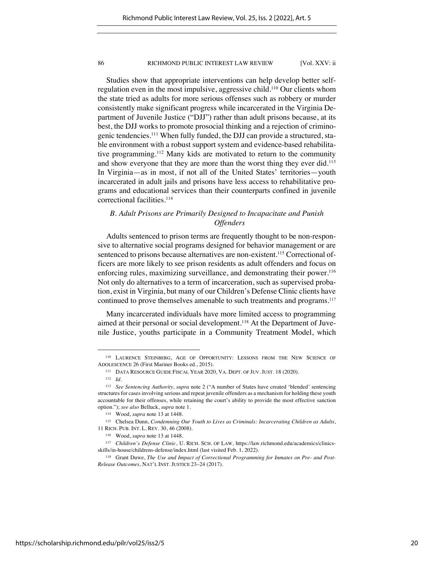Studies show that appropriate interventions can help develop better selfregulation even in the most impulsive, aggressive child.110 Our clients whom the state tried as adults for more serious offenses such as robbery or murder consistently make significant progress while incarcerated in the Virginia Department of Juvenile Justice ("DJJ") rather than adult prisons because, at its best, the DJJ works to promote prosocial thinking and a rejection of criminogenic tendencies.111 When fully funded, the DJJ can provide a structured, stable environment with a robust support system and evidence-based rehabilitative programming.112 Many kids are motivated to return to the community and show everyone that they are more than the worst thing they ever did.<sup>113</sup> In Virginia—as in most, if not all of the United States' territories—youth incarcerated in adult jails and prisons have less access to rehabilitative programs and educational services than their counterparts confined in juvenile correctional facilities.<sup>114</sup>

# *B. Adult Prisons are Primarily Designed to Incapacitate and Punish Offenders*

Adults sentenced to prison terms are frequently thought to be non-responsive to alternative social programs designed for behavior management or are sentenced to prisons because alternatives are non-existent.<sup>115</sup> Correctional officers are more likely to see prison residents as adult offenders and focus on enforcing rules, maximizing surveillance, and demonstrating their power.<sup>116</sup> Not only do alternatives to a term of incarceration, such as supervised probation, exist in Virginia, but many of our Children's Defense Clinic clients have continued to prove themselves amenable to such treatments and programs.<sup>117</sup>

Many incarcerated individuals have more limited access to programming aimed at their personal or social development.118 At the Department of Juvenile Justice, youths participate in a Community Treatment Model, which

<sup>110</sup> LAURENCE STEINBERG, AGE OF OPPORTUNITY: LESSONS FROM THE NEW SCIENCE OF ADOLESCENCE 26 (First Mariner Books ed., 2015).

<sup>111</sup> DATA RESOURCE GUIDE FISCAL YEAR 2020, VA. DEPT. OF JUV. JUST. 18 (2020).

<sup>112</sup> *Id.*

<sup>113</sup> *See Sentencing Authority*, *supra* note 2 ("A number of States have created 'blended' sentencing structures for cases involving serious and repeat juvenile offenders as a mechanism for holding these youth accountable for their offenses, while retaining the court's ability to provide the most effective sanction option."); *see also* Belluck, *supra* note 1.

<sup>114</sup> Wood, *supra* note 13 at 1448.

<sup>115</sup> Chelsea Dunn, *Condemning Our Youth to Lives as Criminals: Incarcerating Children as Adults*, 11 RICH. PUB. INT. L. REV. 30, 46 (2008).

<sup>116</sup> Wood, *supra* note 13 at 1448.

<sup>117</sup> *Children's Defense Clinic*, U. RICH. SCH. OF LAW, https://law.richmond.edu/academics/clinicsskills/in-house/childrens-defense/index.html (last visited Feb. 1, 2022).

<sup>118</sup> Grant Duwe, *The Use and Impact of Correctional Programming for Inmates on Pre- and Post-Release Outcomes*, NAT'L INST. JUSTICE 23–24 (2017).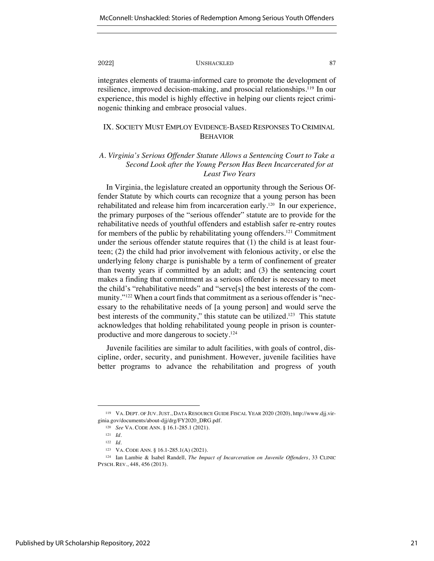integrates elements of trauma-informed care to promote the development of resilience, improved decision-making, and prosocial relationships.119 In our experience, this model is highly effective in helping our clients reject criminogenic thinking and embrace prosocial values.

# IX. SOCIETY MUST EMPLOY EVIDENCE-BASED RESPONSES TO CRIMINAL BEHAVIOR

# *A. Virginia's Serious Offender Statute Allows a Sentencing Court to Take a Second Look after the Young Person Has Been Incarcerated for at Least Two Years*

In Virginia, the legislature created an opportunity through the Serious Offender Statute by which courts can recognize that a young person has been rehabilitated and release him from incarceration early.120 In our experience, the primary purposes of the "serious offender" statute are to provide for the rehabilitative needs of youthful offenders and establish safer re-entry routes for members of the public by rehabilitating young offenders.121 Commitment under the serious offender statute requires that (1) the child is at least fourteen; (2) the child had prior involvement with felonious activity, or else the underlying felony charge is punishable by a term of confinement of greater than twenty years if committed by an adult; and (3) the sentencing court makes a finding that commitment as a serious offender is necessary to meet the child's "rehabilitative needs" and "serve[s] the best interests of the community."122 When a court finds that commitment as a serious offender is "necessary to the rehabilitative needs of [a young person] and would serve the best interests of the community," this statute can be utilized.<sup>123</sup> This statute acknowledges that holding rehabilitated young people in prison is counterproductive and more dangerous to society.124

Juvenile facilities are similar to adult facilities, with goals of control, discipline, order, security, and punishment. However, juvenile facilities have better programs to advance the rehabilitation and progress of youth

<sup>119</sup> VA. DEPT. OF JUV. JUST., DATA RESOURCE GUIDE FISCAL YEAR 2020 (2020), http://www.djj.virginia.gov/documents/about-djj/drg/FY2020\_DRG.pdf.

<sup>120</sup> *See* VA. CODE ANN. § 16.1-285.1 (2021).

<sup>121</sup> *Id.*

<sup>122</sup> *Id.*

<sup>123</sup> VA. CODE ANN. § 16.1-285.1(A) (2021).

<sup>124</sup> Ian Lambie & Isabel Randell, *The Impact of Incarceration on Juvenile Offenders*, 33 CLINIC PYSCH. REV., 448, 456 (2013).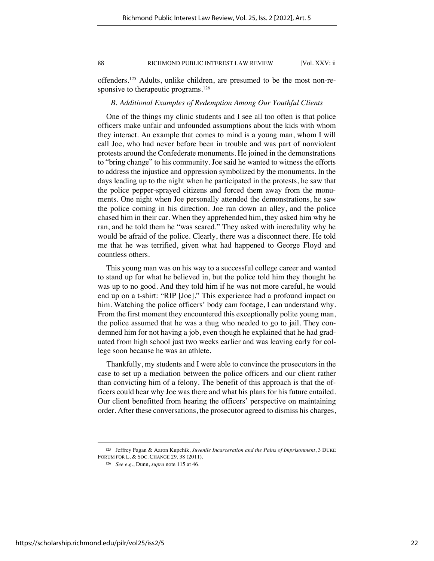offenders.125 Adults, unlike children, are presumed to be the most non-responsive to therapeutic programs.<sup>126</sup>

# *B. Additional Examples of Redemption Among Our Youthful Clients*

One of the things my clinic students and I see all too often is that police officers make unfair and unfounded assumptions about the kids with whom they interact. An example that comes to mind is a young man, whom I will call Joe, who had never before been in trouble and was part of nonviolent protests around the Confederate monuments. He joined in the demonstrations to "bring change" to his community. Joe said he wanted to witness the efforts to address the injustice and oppression symbolized by the monuments. In the days leading up to the night when he participated in the protests, he saw that the police pepper-sprayed citizens and forced them away from the monuments. One night when Joe personally attended the demonstrations, he saw the police coming in his direction. Joe ran down an alley, and the police chased him in their car. When they apprehended him, they asked him why he ran, and he told them he "was scared." They asked with incredulity why he would be afraid of the police. Clearly, there was a disconnect there. He told me that he was terrified, given what had happened to George Floyd and countless others.

This young man was on his way to a successful college career and wanted to stand up for what he believed in, but the police told him they thought he was up to no good. And they told him if he was not more careful, he would end up on a t-shirt: "RIP [Joe]." This experience had a profound impact on him. Watching the police officers' body cam footage, I can understand why. From the first moment they encountered this exceptionally polite young man, the police assumed that he was a thug who needed to go to jail. They condemned him for not having a job, even though he explained that he had graduated from high school just two weeks earlier and was leaving early for college soon because he was an athlete.

Thankfully, my students and I were able to convince the prosecutors in the case to set up a mediation between the police officers and our client rather than convicting him of a felony. The benefit of this approach is that the officers could hear why Joe was there and what his plans for his future entailed. Our client benefitted from hearing the officers' perspective on maintaining order. After these conversations, the prosecutor agreed to dismiss his charges,

<sup>125</sup> Jeffrey Fagan & Aaron Kupchik, *Juvenile Incarceration and the Pains of Imprisonment*, 3 DUKE FORUM FOR L. & SOC. CHANGE 29, 38 (2011).

<sup>126</sup> *See e.g.*, Dunn, *supra* note 115 at 46.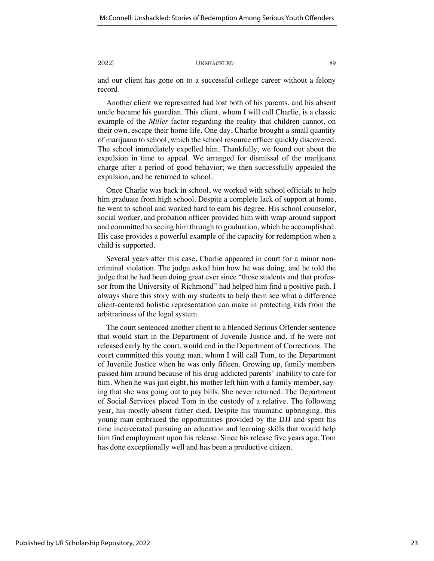and our client has gone on to a successful college career without a felony record.

Another client we represented had lost both of his parents, and his absent uncle became his guardian. This client, whom I will call Charlie, is a classic example of the *Miller* factor regarding the reality that children cannot, on their own, escape their home life. One day, Charlie brought a small quantity of marijuana to school, which the school resource officer quickly discovered. The school immediately expelled him. Thankfully, we found out about the expulsion in time to appeal. We arranged for dismissal of the marijuana charge after a period of good behavior; we then successfully appealed the expulsion, and he returned to school.

Once Charlie was back in school, we worked with school officials to help him graduate from high school. Despite a complete lack of support at home, he went to school and worked hard to earn his degree. His school counselor, social worker, and probation officer provided him with wrap-around support and committed to seeing him through to graduation, which he accomplished. His case provides a powerful example of the capacity for redemption when a child is supported.

Several years after this case, Charlie appeared in court for a minor noncriminal violation. The judge asked him how he was doing, and he told the judge that he had been doing great ever since "those students and that professor from the University of Richmond" had helped him find a positive path. I always share this story with my students to help them see what a difference client-centered holistic representation can make in protecting kids from the arbitrariness of the legal system.

The court sentenced another client to a blended Serious Offender sentence that would start in the Department of Juvenile Justice and, if he were not released early by the court, would end in the Department of Corrections. The court committed this young man, whom I will call Tom, to the Department of Juvenile Justice when he was only fifteen. Growing up, family members passed him around because of his drug-addicted parents' inability to care for him. When he was just eight, his mother left him with a family member, saying that she was going out to pay bills. She never returned. The Department of Social Services placed Tom in the custody of a relative. The following year, his mostly-absent father died. Despite his traumatic upbringing, this young man embraced the opportunities provided by the DJJ and spent his time incarcerated pursuing an education and learning skills that would help him find employment upon his release. Since his release five years ago, Tom has done exceptionally well and has been a productive citizen.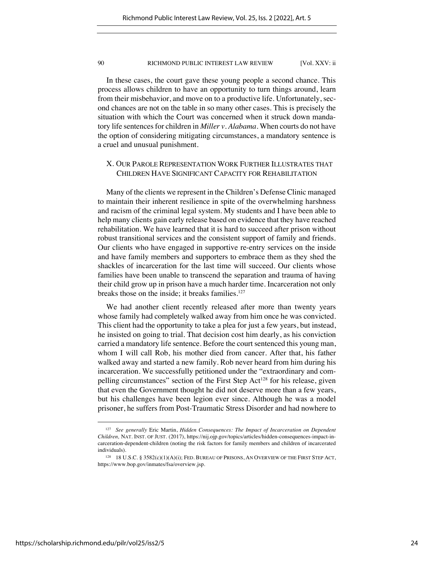In these cases, the court gave these young people a second chance. This process allows children to have an opportunity to turn things around, learn from their misbehavior, and move on to a productive life. Unfortunately, second chances are not on the table in so many other cases. This is precisely the situation with which the Court was concerned when it struck down mandatory life sentences for children in *Miller v. Alabama*. When courts do not have the option of considering mitigating circumstances, a mandatory sentence is a cruel and unusual punishment.

# X. OUR PAROLE REPRESENTATION WORK FURTHER ILLUSTRATES THAT CHILDREN HAVE SIGNIFICANT CAPACITY FOR REHABILITATION

Many of the clients we represent in the Children's Defense Clinic managed to maintain their inherent resilience in spite of the overwhelming harshness and racism of the criminal legal system. My students and I have been able to help many clients gain early release based on evidence that they have reached rehabilitation. We have learned that it is hard to succeed after prison without robust transitional services and the consistent support of family and friends. Our clients who have engaged in supportive re-entry services on the inside and have family members and supporters to embrace them as they shed the shackles of incarceration for the last time will succeed. Our clients whose families have been unable to transcend the separation and trauma of having their child grow up in prison have a much harder time. Incarceration not only breaks those on the inside; it breaks families.<sup>127</sup>

We had another client recently released after more than twenty years whose family had completely walked away from him once he was convicted. This client had the opportunity to take a plea for just a few years, but instead, he insisted on going to trial. That decision cost him dearly, as his conviction carried a mandatory life sentence. Before the court sentenced this young man, whom I will call Rob, his mother died from cancer. After that, his father walked away and started a new family. Rob never heard from him during his incarceration. We successfully petitioned under the "extraordinary and compelling circumstances" section of the First Step Act<sup>128</sup> for his release, given that even the Government thought he did not deserve more than a few years, but his challenges have been legion ever since. Although he was a model prisoner, he suffers from Post-Traumatic Stress Disorder and had nowhere to

<sup>127</sup> *See generally* Eric Martin, *Hidden Consequences: The Impact of Incarceration on Dependent Children,* NAT. INST. OF JUST. (2017), https://nij.ojp.gov/topics/articles/hidden-consequences-impact-incarceration-dependent-children (noting the risk factors for family members and children of incarcerated individuals).

<sup>128</sup> 18 U.S.C. § 3582(c)(1)(A)(i); FED. BUREAU OF PRISONS, AN OVERVIEW OF THE FIRST STEP ACT, https://www.bop.gov/inmates/fsa/overview.jsp.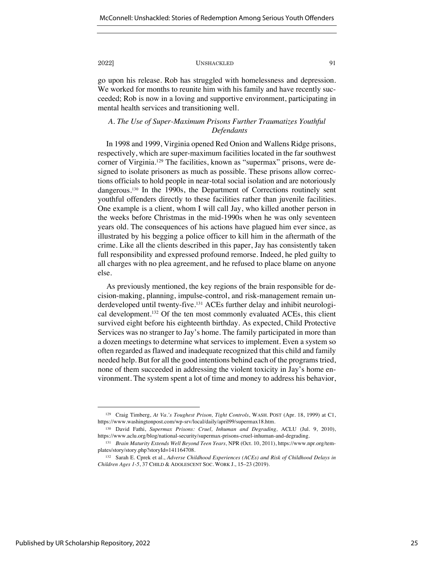go upon his release. Rob has struggled with homelessness and depression. We worked for months to reunite him with his family and have recently succeeded; Rob is now in a loving and supportive environment, participating in mental health services and transitioning well.

# *A. The Use of Super-Maximum Prisons Further Traumatizes Youthful Defendants*

In 1998 and 1999, Virginia opened Red Onion and Wallens Ridge prisons, respectively, which are super-maximum facilities located in the far southwest corner of Virginia.<sup>129</sup> The facilities, known as "supermax" prisons, were designed to isolate prisoners as much as possible. These prisons allow corrections officials to hold people in near-total social isolation and are notoriously dangerous.<sup>130</sup> In the 1990s, the Department of Corrections routinely sent youthful offenders directly to these facilities rather than juvenile facilities. One example is a client, whom I will call Jay, who killed another person in the weeks before Christmas in the mid-1990s when he was only seventeen years old. The consequences of his actions have plagued him ever since, as illustrated by his begging a police officer to kill him in the aftermath of the crime. Like all the clients described in this paper, Jay has consistently taken full responsibility and expressed profound remorse. Indeed, he pled guilty to all charges with no plea agreement, and he refused to place blame on anyone else.

As previously mentioned, the key regions of the brain responsible for decision-making, planning, impulse-control, and risk-management remain underdeveloped until twenty-five.131 ACEs further delay and inhibit neurological development.132 Of the ten most commonly evaluated ACEs, this client survived eight before his eighteenth birthday. As expected, Child Protective Services was no stranger to Jay's home. The family participated in more than a dozen meetings to determine what services to implement. Even a system so often regarded as flawed and inadequate recognized that this child and family needed help. But for all the good intentions behind each of the programs tried, none of them succeeded in addressing the violent toxicity in Jay's home environment. The system spent a lot of time and money to address his behavior,

<sup>129</sup> Craig Timberg, *At Va.'s Toughest Prison, Tight Controls*, WASH. POST (Apr. 18, 1999) at C1, https://www.washingtonpost.com/wp-srv/local/daily/april99/supermax18.htm.

<sup>130</sup> David Fathi, *Supermax Prisons: Cruel, Inhuman and Degrading,* ACLU (Jul. 9, 2010), https://www.aclu.org/blog/national-security/supermax-prisons-cruel-inhuman-and-degrading.

<sup>131</sup> *Brain Maturity Extends Well Beyond Teen Years,* NPR (Oct. 10, 2011), https://www.npr.org/templates/story/story.php?storyId=141164708.

<sup>132</sup> Sarah E. Cprek et al., *Adverse Childhood Experiences (ACEs) and Risk of Childhood Delays in Children Ages 1-5*, 37 CHILD & ADOLESCENT SOC. WORK J., 15–23 (2019).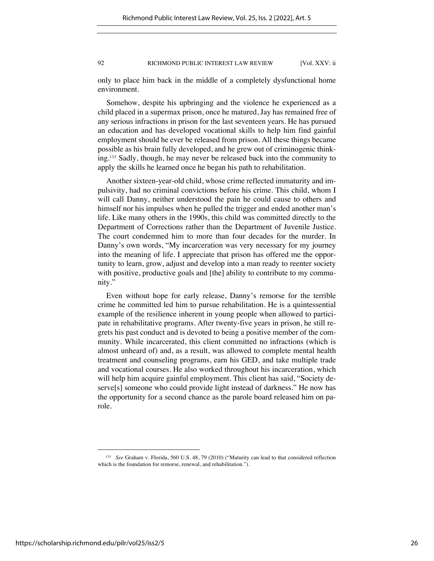only to place him back in the middle of a completely dysfunctional home environment.

Somehow, despite his upbringing and the violence he experienced as a child placed in a supermax prison, once he matured, Jay has remained free of any serious infractions in prison for the last seventeen years. He has pursued an education and has developed vocational skills to help him find gainful employment should he ever be released from prison. All these things became possible as his brain fully developed, and he grew out of criminogenic thinking.<sup>133</sup> Sadly, though, he may never be released back into the community to apply the skills he learned once he began his path to rehabilitation.

Another sixteen-year-old child, whose crime reflected immaturity and impulsivity, had no criminal convictions before his crime. This child, whom I will call Danny, neither understood the pain he could cause to others and himself nor his impulses when he pulled the trigger and ended another man's life. Like many others in the 1990s, this child was committed directly to the Department of Corrections rather than the Department of Juvenile Justice. The court condemned him to more than four decades for the murder. In Danny's own words, "My incarceration was very necessary for my journey into the meaning of life. I appreciate that prison has offered me the opportunity to learn, grow, adjust and develop into a man ready to reenter society with positive, productive goals and [the] ability to contribute to my community."

Even without hope for early release, Danny's remorse for the terrible crime he committed led him to pursue rehabilitation. He is a quintessential example of the resilience inherent in young people when allowed to participate in rehabilitative programs. After twenty-five years in prison, he still regrets his past conduct and is devoted to being a positive member of the community. While incarcerated, this client committed no infractions (which is almost unheard of) and, as a result, was allowed to complete mental health treatment and counseling programs, earn his GED, and take multiple trade and vocational courses. He also worked throughout his incarceration, which will help him acquire gainful employment. This client has said, "Society deserve[s] someone who could provide light instead of darkness." He now has the opportunity for a second chance as the parole board released him on parole.

<sup>133</sup> *See* Graham v. Florida, 560 U.S. 48, 79 (2010) ("Maturity can lead to that considered reflection which is the foundation for remorse, renewal, and rehabilitation.").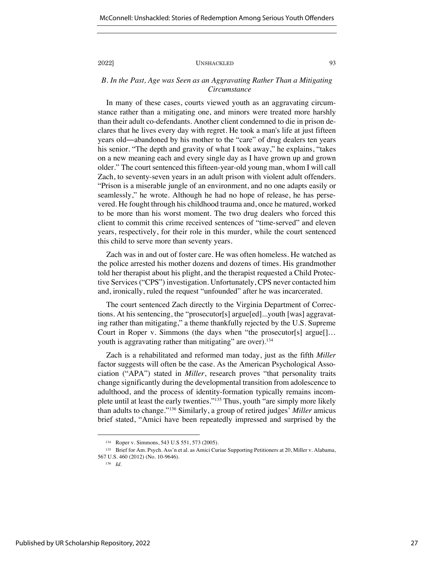*B. In the Past, Age was Seen as an Aggravating Rather Than a Mitigating Circumstance*

In many of these cases, courts viewed youth as an aggravating circumstance rather than a mitigating one, and minors were treated more harshly than their adult co-defendants. Another client condemned to die in prison declares that he lives every day with regret. He took a man's life at just fifteen years old―abandoned by his mother to the "care" of drug dealers ten years his senior. "The depth and gravity of what I took away," he explains, "takes on a new meaning each and every single day as I have grown up and grown older." The court sentenced this fifteen-year-old young man, whom I will call Zach, to seventy-seven years in an adult prison with violent adult offenders. "Prison is a miserable jungle of an environment, and no one adapts easily or seamlessly," he wrote. Although he had no hope of release, he has persevered. He fought through his childhood trauma and, once he matured, worked to be more than his worst moment. The two drug dealers who forced this client to commit this crime received sentences of "time-served" and eleven years, respectively, for their role in this murder, while the court sentenced this child to serve more than seventy years.

Zach was in and out of foster care. He was often homeless. He watched as the police arrested his mother dozens and dozens of times. His grandmother told her therapist about his plight, and the therapist requested a Child Protective Services ("CPS") investigation. Unfortunately, CPS never contacted him and, ironically, ruled the request "unfounded" after he was incarcerated.

The court sentenced Zach directly to the Virginia Department of Corrections. At his sentencing, the "prosecutor[s] argue[ed]...youth [was] aggravating rather than mitigating," a theme thankfully rejected by the U.S. Supreme Court in Roper v. Simmons (the days when "the prosecutor[s] argue[]… youth is aggravating rather than mitigating" are over).<sup>134</sup>

Zach is a rehabilitated and reformed man today, just as the fifth *Miller* factor suggests will often be the case. As the American Psychological Association ("APA") stated in *Miller*, research proves "that personality traits change significantly during the developmental transition from adolescence to adulthood, and the process of identity-formation typically remains incomplete until at least the early twenties."135 Thus, youth "are simply more likely than adults to change."136 Similarly, a group of retired judges' *Miller* amicus brief stated, "Amici have been repeatedly impressed and surprised by the

<sup>134</sup> Roper v. Simmons, 543 U.S 551, 573 (2005).

<sup>135</sup> Brief for Am. Psych. Ass'n et al. as Amici Curiae Supporting Petitioners at 20, Miller v. Alabama, 567 U.S. 460 (2012) (No. 10-9646).

<sup>136</sup> *Id.*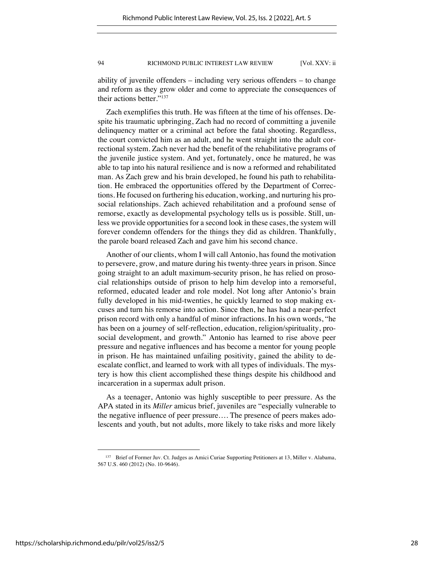ability of juvenile offenders – including very serious offenders – to change and reform as they grow older and come to appreciate the consequences of their actions better."137

Zach exemplifies this truth. He was fifteen at the time of his offenses. Despite his traumatic upbringing, Zach had no record of committing a juvenile delinquency matter or a criminal act before the fatal shooting. Regardless, the court convicted him as an adult, and he went straight into the adult correctional system. Zach never had the benefit of the rehabilitative programs of the juvenile justice system. And yet, fortunately, once he matured, he was able to tap into his natural resilience and is now a reformed and rehabilitated man. As Zach grew and his brain developed, he found his path to rehabilitation. He embraced the opportunities offered by the Department of Corrections. He focused on furthering his education, working, and nurturing his prosocial relationships. Zach achieved rehabilitation and a profound sense of remorse, exactly as developmental psychology tells us is possible. Still, unless we provide opportunities for a second look in these cases, the system will forever condemn offenders for the things they did as children. Thankfully, the parole board released Zach and gave him his second chance.

Another of our clients, whom I will call Antonio, has found the motivation to persevere, grow, and mature during his twenty-three years in prison. Since going straight to an adult maximum-security prison, he has relied on prosocial relationships outside of prison to help him develop into a remorseful, reformed, educated leader and role model. Not long after Antonio's brain fully developed in his mid-twenties, he quickly learned to stop making excuses and turn his remorse into action. Since then, he has had a near-perfect prison record with only a handful of minor infractions. In his own words, "he has been on a journey of self-reflection, education, religion/spirituality, prosocial development, and growth." Antonio has learned to rise above peer pressure and negative influences and has become a mentor for young people in prison. He has maintained unfailing positivity, gained the ability to deescalate conflict, and learned to work with all types of individuals. The mystery is how this client accomplished these things despite his childhood and incarceration in a supermax adult prison.

As a teenager, Antonio was highly susceptible to peer pressure. As the APA stated in its *Miller* amicus brief, juveniles are "especially vulnerable to the negative influence of peer pressure…. The presence of peers makes adolescents and youth, but not adults, more likely to take risks and more likely

<sup>137</sup> Brief of Former Juv. Ct. Judges as Amici Curiae Supporting Petitioners at 13, Miller v. Alabama, 567 U.S. 460 (2012) (No. 10-9646).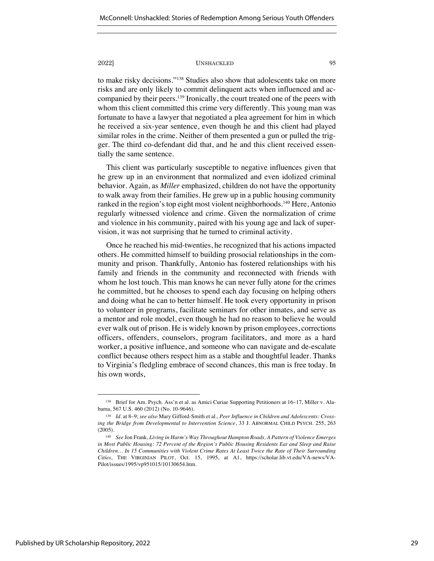to make risky decisions."138 Studies also show that adolescents take on more risks and are only likely to commit delinquent acts when influenced and accompanied by their peers.139 Ironically, the court treated one of the peers with whom this client committed this crime very differently. This young man was fortunate to have a lawyer that negotiated a plea agreement for him in which he received a six-year sentence, even though he and this client had played similar roles in the crime. Neither of them presented a gun or pulled the trigger. The third co-defendant did that, and he and this client received essentially the same sentence.

This client was particularly susceptible to negative influences given that he grew up in an environment that normalized and even idolized criminal behavior. Again, as *Miller* emphasized, children do not have the opportunity to walk away from their families. He grew up in a public housing community ranked in the region's top eight most violent neighborhoods.140 Here, Antonio regularly witnessed violence and crime. Given the normalization of crime and violence in his community, paired with his young age and lack of supervision, it was not surprising that he turned to criminal activity.

Once he reached his mid-twenties, he recognized that his actions impacted others. He committed himself to building prosocial relationships in the community and prison. Thankfully, Antonio has fostered relationships with his family and friends in the community and reconnected with friends with whom he lost touch. This man knows he can never fully atone for the crimes he committed, but he chooses to spend each day focusing on helping others and doing what he can to better himself. He took every opportunity in prison to volunteer in programs, facilitate seminars for other inmates, and serve as a mentor and role model, even though he had no reason to believe he would ever walk out of prison. He is widely known by prison employees, corrections officers, offenders, counselors, program facilitators, and more as a hard worker, a positive influence, and someone who can navigate and de-escalate conflict because others respect him as a stable and thoughtful leader. Thanks to Virginia's fledgling embrace of second chances, this man is free today. In his own words,

<sup>138</sup> Brief for Am. Psych. Ass'n et al. as Amici Curiae Supporting Petitioners at 16–17, Miller v. Alabama, 567 U.S. 460 (2012) (No. 10-9646).

<sup>139</sup> *Id.* at 8–9; *see also* Mary Gifford-Smith et al., *Peer Influence in Children and Adolescents: Crossing the Bridge from Developmental to Intervention Science*, 33 J. ABNORMAL CHILD PSYCH. 255, 263 (2005).

<sup>140</sup> *See* Jon Frank, *Living in Harm's Way Throughout Hampton Roads, A Pattern of Violence Emerges in Most Public Housing: 72 Percent of the Region's Public Housing Residents Eat and Sleep and Raise Children… In 15 Communities with Violent Crime Rates At Least Twice the Rate of Their Surrounding Cities*, THE VIRGINIAN PILOT, Oct. 15, 1995, at A1, https://scholar.lib.vt.edu/VA-news/VA-Pilot/issues/1995/vp951015/10130654.htm.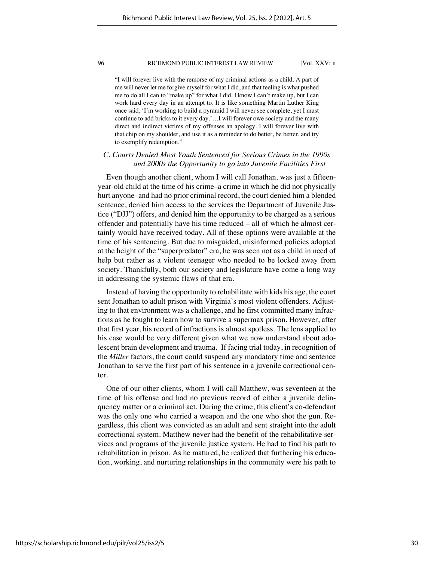"I will forever live with the remorse of my criminal actions as a child. A part of me will never let me forgive myself for what I did, and that feeling is what pushed me to do all I can to "make up" for what I did. I know I can't make up, but I can work hard every day in an attempt to. It is like something Martin Luther King once said, 'I'm working to build a pyramid I will never see complete, yet I must continue to add bricks to it every day.'…I will forever owe society and the many direct and indirect victims of my offenses an apology. I will forever live with that chip on my shoulder, and use it as a reminder to do better, be better, and try to exemplify redemption."

# *C. Courts Denied Most Youth Sentenced for Serious Crimes in the 1990s and 2000s the Opportunity to go into Juvenile Facilities First*

Even though another client, whom I will call Jonathan, was just a fifteenyear-old child at the time of his crime–a crime in which he did not physically hurt anyone–and had no prior criminal record, the court denied him a blended sentence, denied him access to the services the Department of Juvenile Justice ("DJJ") offers, and denied him the opportunity to be charged as a serious offender and potentially have his time reduced – all of which he almost certainly would have received today. All of these options were available at the time of his sentencing. But due to misguided, misinformed policies adopted at the height of the "superpredator" era, he was seen not as a child in need of help but rather as a violent teenager who needed to be locked away from society. Thankfully, both our society and legislature have come a long way in addressing the systemic flaws of that era.

Instead of having the opportunity to rehabilitate with kids his age, the court sent Jonathan to adult prison with Virginia's most violent offenders. Adjusting to that environment was a challenge, and he first committed many infractions as he fought to learn how to survive a supermax prison. However, after that first year, his record of infractions is almost spotless. The lens applied to his case would be very different given what we now understand about adolescent brain development and trauma. If facing trial today, in recognition of the *Miller* factors, the court could suspend any mandatory time and sentence Jonathan to serve the first part of his sentence in a juvenile correctional center.

One of our other clients, whom I will call Matthew, was seventeen at the time of his offense and had no previous record of either a juvenile delinquency matter or a criminal act. During the crime, this client's co-defendant was the only one who carried a weapon and the one who shot the gun. Regardless, this client was convicted as an adult and sent straight into the adult correctional system. Matthew never had the benefit of the rehabilitative services and programs of the juvenile justice system. He had to find his path to rehabilitation in prison. As he matured, he realized that furthering his education, working, and nurturing relationships in the community were his path to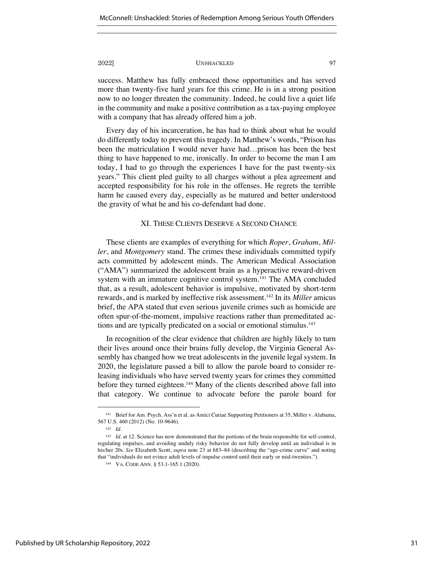success. Matthew has fully embraced those opportunities and has served more than twenty-five hard years for this crime. He is in a strong position now to no longer threaten the community. Indeed, he could live a quiet life in the community and make a positive contribution as a tax-paying employee with a company that has already offered him a job.

Every day of his incarceration, he has had to think about what he would do differently today to prevent this tragedy. In Matthew's words, "Prison has been the matriculation I would never have had…prison has been the best thing to have happened to me, ironically. In order to become the man I am today, I had to go through the experiences I have for the past twenty-six years." This client pled guilty to all charges without a plea agreement and accepted responsibility for his role in the offenses. He regrets the terrible harm he caused every day, especially as he matured and better understood the gravity of what he and his co-defendant had done.

# XI. THESE CLIENTS DESERVE A SECOND CHANCE

These clients are examples of everything for which *Roper*, *Graham*, *Miller*, and *Montgomery* stand. The crimes these individuals committed typify acts committed by adolescent minds. The American Medical Association ("AMA") summarized the adolescent brain as a hyperactive reward-driven system with an immature cognitive control system.<sup>141</sup> The AMA concluded that, as a result, adolescent behavior is impulsive, motivated by short-term rewards, and is marked by ineffective risk assessment.142 In its *Miller* amicus brief, the APA stated that even serious juvenile crimes such as homicide are often spur-of-the-moment, impulsive reactions rather than premeditated actions and are typically predicated on a social or emotional stimulus.<sup>143</sup>

In recognition of the clear evidence that children are highly likely to turn their lives around once their brains fully develop, the Virginia General Assembly has changed how we treat adolescents in the juvenile legal system. In 2020, the legislature passed a bill to allow the parole board to consider releasing individuals who have served twenty years for crimes they committed before they turned eighteen.<sup>144</sup> Many of the clients described above fall into that category. We continue to advocate before the parole board for

<sup>141</sup> Brief for Am. Psych. Ass'n et al. as Amici Curiae Supporting Petitioners at 35, Miller v. Alabama, 567 U.S. 460 (2012) (No. 10-9646).

<sup>142</sup> *Id.*

<sup>143</sup> *Id.* at 12. Science has now demonstrated that the portions of the brain responsible for self-control, regulating impulses, and avoiding unduly risky behavior do not fully develop until an individual is in his/her 20s. *See* Elizabeth Scott, *supra* note 23 at 683–84 (describing the "age-crime curve" and noting that "individuals do not evince adult levels of impulse control until their early or mid-twenties.").

<sup>144</sup> VA. CODE ANN. § 53.1-165.1 (2020).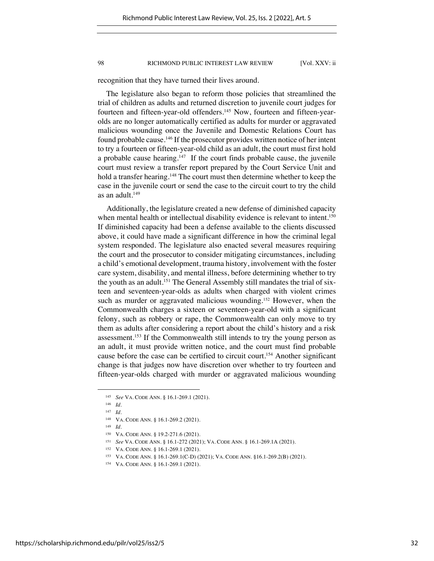recognition that they have turned their lives around.

The legislature also began to reform those policies that streamlined the trial of children as adults and returned discretion to juvenile court judges for fourteen and fifteen-year-old offenders.<sup>145</sup> Now, fourteen and fifteen-yearolds are no longer automatically certified as adults for murder or aggravated malicious wounding once the Juvenile and Domestic Relations Court has found probable cause.146 If the prosecutor provides written notice of her intent to try a fourteen or fifteen-year-old child as an adult, the court must first hold a probable cause hearing.<sup>147</sup> If the court finds probable cause, the juvenile court must review a transfer report prepared by the Court Service Unit and hold a transfer hearing.<sup>148</sup> The court must then determine whether to keep the case in the juvenile court or send the case to the circuit court to try the child as an adult. $149$ 

Additionally, the legislature created a new defense of diminished capacity when mental health or intellectual disability evidence is relevant to intent.<sup>150</sup> If diminished capacity had been a defense available to the clients discussed above, it could have made a significant difference in how the criminal legal system responded. The legislature also enacted several measures requiring the court and the prosecutor to consider mitigating circumstances, including a child's emotional development, trauma history, involvement with the foster care system, disability, and mental illness, before determining whether to try the youth as an adult.<sup>151</sup> The General Assembly still mandates the trial of sixteen and seventeen-year-olds as adults when charged with violent crimes such as murder or aggravated malicious wounding.<sup>152</sup> However, when the Commonwealth charges a sixteen or seventeen-year-old with a significant felony, such as robbery or rape, the Commonwealth can only move to try them as adults after considering a report about the child's history and a risk assessment.<sup>153</sup> If the Commonwealth still intends to try the young person as an adult, it must provide written notice, and the court must find probable cause before the case can be certified to circuit court.154 Another significant change is that judges now have discretion over whether to try fourteen and fifteen-year-olds charged with murder or aggravated malicious wounding

<sup>149</sup> *Id.* 

<sup>145</sup> *See* VA. CODE ANN. § 16.1-269.1 (2021).

<sup>146</sup> *Id.* 

<sup>147</sup> *Id.*

<sup>148</sup> VA. CODE ANN. § 16.1-269.2 (2021).

<sup>150</sup> VA. CODE ANN. § 19.2-271.6 (2021).

<sup>151</sup> *See* VA. CODE ANN. § 16.1-272 (2021); VA. CODE ANN. § 16.1-269.1A (2021).

<sup>152</sup> VA. CODE ANN. § 16.1-269.1 (2021).

<sup>153</sup> VA. CODE ANN. § 16.1-269.1(C-D) (2021); VA. CODE ANN. §16.1-269.2(B) (2021).

<sup>154</sup> VA. CODE ANN. § 16.1-269.1 (2021).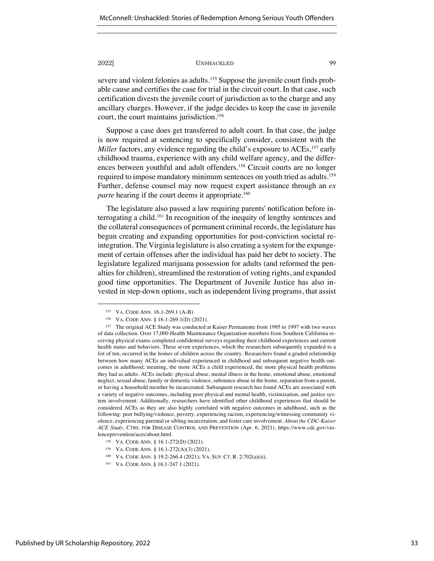severe and violent felonies as adults.<sup>155</sup> Suppose the juvenile court finds probable cause and certifies the case for trial in the circuit court. In that case, such certification divests the juvenile court of jurisdiction as to the charge and any ancillary charges. However, if the judge decides to keep the case in juvenile court, the court maintains jurisdiction.<sup>156</sup>

Suppose a case does get transferred to adult court. In that case, the judge is now required at sentencing to specifically consider, consistent with the *Miller* factors, any evidence regarding the child's exposure to ACEs,<sup>157</sup> early childhood trauma, experience with any child welfare agency, and the differences between youthful and adult offenders.158 Circuit courts are no longer required to impose mandatory minimum sentences on youth tried as adults.<sup>159</sup> Further, defense counsel may now request expert assistance through an *ex parte* hearing if the court deems it appropriate.<sup>160</sup>

The legislature also passed a law requiring parents' notification before interrogating a child.161 In recognition of the inequity of lengthy sentences and the collateral consequences of permanent criminal records, the legislature has begun creating and expanding opportunities for post-conviction societal reintegration. The Virginia legislature is also creating a system for the expungement of certain offenses after the individual has paid her debt to society. The legislature legalized marijuana possession for adults (and reformed the penalties for children), streamlined the restoration of voting rights, and expanded good time opportunities. The Department of Juvenile Justice has also invested in step-down options, such as independent living programs, that assist

<sup>155</sup> VA. CODE ANN. 16.1-269.1 (A-B).

<sup>156</sup> VA. CODE ANN. § 16.1-269.1(D) (2021).

<sup>157</sup> The original ACE Study was conducted at Kaiser Permanente from 1995 to 1997 with two waves of data collection. Over 17,000 Health Maintenance Organization members from Southern California receiving physical exams completed confidential surveys regarding their childhood experiences and current health status and behaviors. These seven experiences, which the researchers subsequently expanded to a list of ten, occurred in the homes of children across the country. Researchers found a graded relationship between how many ACEs an individual experienced in childhood and subsequent negative health outcomes in adulthood; meaning, the more ACEs a child experienced, the more physical health problems they had as adults. ACEs include: physical abuse, mental illness in the home, emotional abuse, emotional neglect, sexual abuse, family or domestic violence, substance abuse in the home, separation from a parent, or having a household member be incarcerated. Subsequent research has found ACEs are associated with a variety of negative outcomes, including poor physical and mental health, victimization, and justice system involvement. Additionally, researchers have identified other childhood experiences that should be considered ACEs as they are also highly correlated with negative outcomes in adulthood, such as the following: peer bullying/violence, poverty, experiencing racism, experiencing/witnessing community violence, experiencing parental or sibling incarceration, and foster care involvement. *About the CDC-Kaiser ACE Study*, CTRS. FOR DISEASE CONTROL AND PREVENTION (Apr. 6, 2021), https://www.cdc.gov/violenceprevention/aces/about.html.

<sup>158</sup> VA. CODE ANN. § 16.1-272(D) (2021).

<sup>159</sup> VA. CODE ANN. § 16.1-272(A)(3) (2021).

<sup>160</sup> VA. CODE ANN. § 19.2-266.4 (2021); VA. SUP. CT. R. 2:702(a)(ii).

<sup>161</sup> VA. CODE ANN. § 16.1-247.1 (2021).